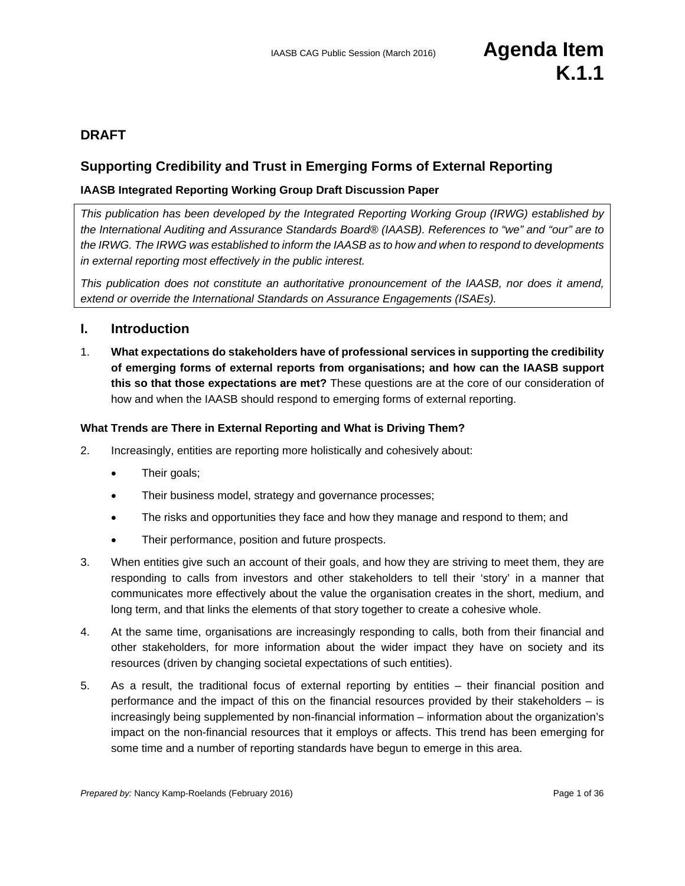# **DRAFT**

# **Supporting Credibility and Trust in Emerging Forms of External Reporting**

#### **IAASB Integrated Reporting Working Group Draft Discussion Paper**

*This publication has been developed by the Integrated Reporting Working Group (IRWG) established by the International Auditing and Assurance Standards Board® (IAASB). References to "we" and "our" are to the IRWG. The IRWG was established to inform the IAASB as to how and when to respond to developments in external reporting most effectively in the public interest.* 

*This publication does not constitute an authoritative pronouncement of the IAASB, nor does it amend, extend or override the International Standards on Assurance Engagements (ISAEs).* 

#### **I. Introduction**

1. **What expectations do stakeholders have of professional services in supporting the credibility of emerging forms of external reports from organisations; and how can the IAASB support this so that those expectations are met?** These questions are at the core of our consideration of how and when the IAASB should respond to emerging forms of external reporting.

#### **What Trends are There in External Reporting and What is Driving Them?**

- 2. Increasingly, entities are reporting more holistically and cohesively about:
	- Their goals;
	- Their business model, strategy and governance processes;
	- The risks and opportunities they face and how they manage and respond to them; and
	- Their performance, position and future prospects.
- 3. When entities give such an account of their goals, and how they are striving to meet them, they are responding to calls from investors and other stakeholders to tell their 'story' in a manner that communicates more effectively about the value the organisation creates in the short, medium, and long term, and that links the elements of that story together to create a cohesive whole.
- 4. At the same time, organisations are increasingly responding to calls, both from their financial and other stakeholders, for more information about the wider impact they have on society and its resources (driven by changing societal expectations of such entities).
- 5. As a result, the traditional focus of external reporting by entities their financial position and performance and the impact of this on the financial resources provided by their stakeholders – is increasingly being supplemented by non-financial information – information about the organization's impact on the non-financial resources that it employs or affects. This trend has been emerging for some time and a number of reporting standards have begun to emerge in this area.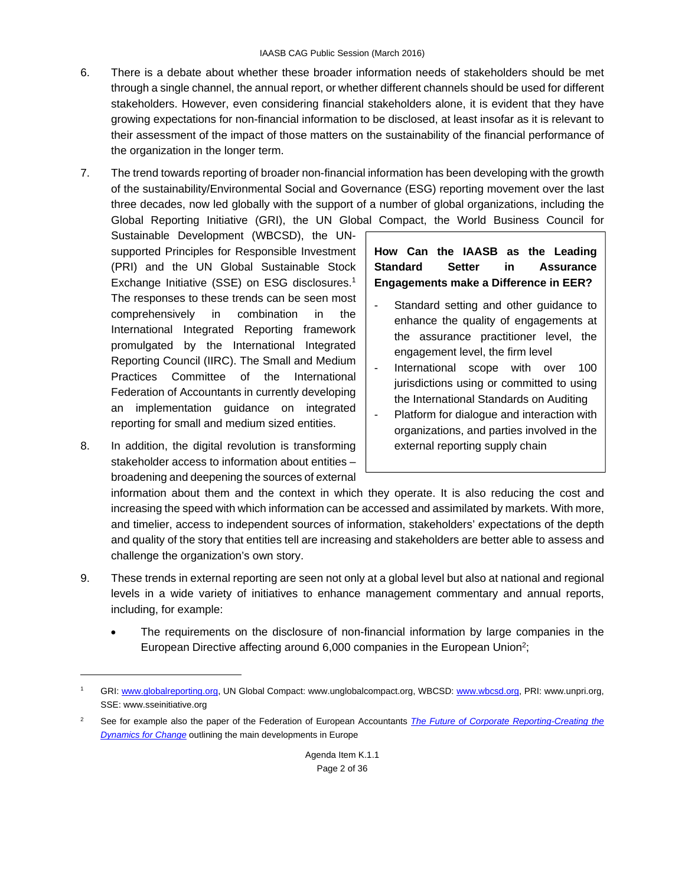- 6. There is a debate about whether these broader information needs of stakeholders should be met through a single channel, the annual report, or whether different channels should be used for different stakeholders. However, even considering financial stakeholders alone, it is evident that they have growing expectations for non-financial information to be disclosed, at least insofar as it is relevant to their assessment of the impact of those matters on the sustainability of the financial performance of the organization in the longer term.
- 7. The trend towards reporting of broader non-financial information has been developing with the growth of the sustainability/Environmental Social and Governance (ESG) reporting movement over the last three decades, now led globally with the support of a number of global organizations, including the Global Reporting Initiative (GRI), the UN Global Compact, the World Business Council for

Sustainable Development (WBCSD), the UNsupported Principles for Responsible Investment (PRI) and the UN Global Sustainable Stock Exchange Initiative (SSE) on ESG disclosures.<sup>1</sup> The responses to these trends can be seen most comprehensively in combination in the International Integrated Reporting framework promulgated by the International Integrated Reporting Council (IIRC). The Small and Medium Practices Committee of the International Federation of Accountants in currently developing an implementation guidance on integrated reporting for small and medium sized entities.

8. In addition, the digital revolution is transforming stakeholder access to information about entities – broadening and deepening the sources of external

1

**How Can the IAASB as the Leading Standard Setter in Assurance Engagements make a Difference in EER?** 

- Standard setting and other guidance to enhance the quality of engagements at the assurance practitioner level, the engagement level, the firm level
- International scope with over 100 jurisdictions using or committed to using the International Standards on Auditing
- Platform for dialogue and interaction with organizations, and parties involved in the external reporting supply chain

information about them and the context in which they operate. It is also reducing the cost and increasing the speed with which information can be accessed and assimilated by markets. With more, and timelier, access to independent sources of information, stakeholders' expectations of the depth and quality of the story that entities tell are increasing and stakeholders are better able to assess and challenge the organization's own story.

- 9. These trends in external reporting are seen not only at a global level but also at national and regional levels in a wide variety of initiatives to enhance management commentary and annual reports, including, for example:
	- The requirements on the disclosure of non-financial information by large companies in the European Directive affecting around 6,000 companies in the European Union<sup>2</sup>;

<sup>1</sup> GRI: www.globalreporting.org, UN Global Compact: www.unglobalcompact.org, WBCSD: www.wbcsd.org, PRI: www.unpri.org, SSE: www.sseinitiative.org

<sup>2</sup> See for example also the paper of the Federation of European Accountants *The Future of Corporate Reporting-Creating the*  **Dynamics for Change** outlining the main developments in Europe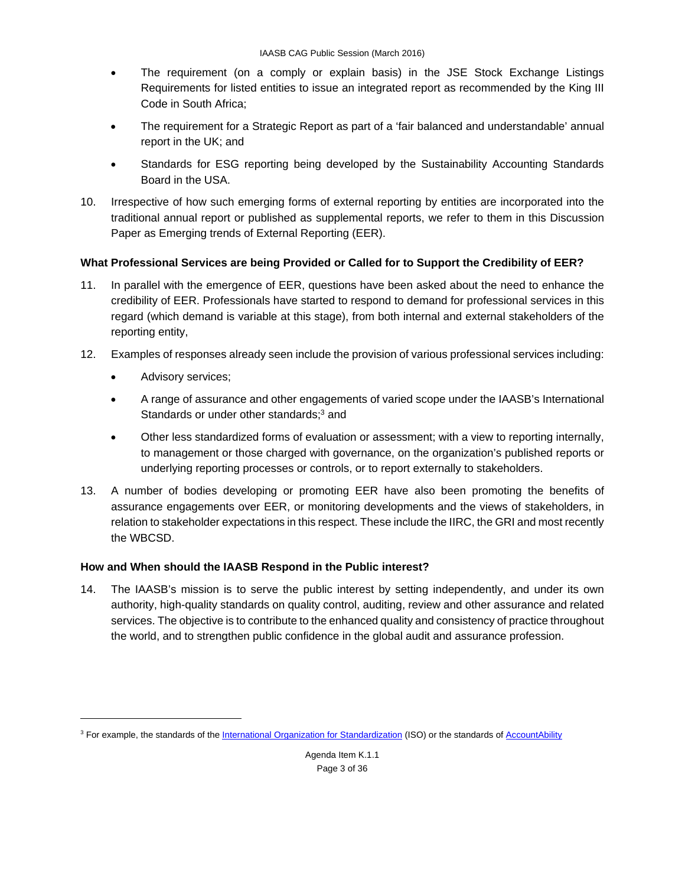- The requirement (on a comply or explain basis) in the JSE Stock Exchange Listings Requirements for listed entities to issue an integrated report as recommended by the King III Code in South Africa;
- The requirement for a Strategic Report as part of a 'fair balanced and understandable' annual report in the UK; and
- Standards for ESG reporting being developed by the Sustainability Accounting Standards Board in the USA.
- 10. Irrespective of how such emerging forms of external reporting by entities are incorporated into the traditional annual report or published as supplemental reports, we refer to them in this Discussion Paper as Emerging trends of External Reporting (EER).

# **What Professional Services are being Provided or Called for to Support the Credibility of EER?**

- 11. In parallel with the emergence of EER, questions have been asked about the need to enhance the credibility of EER. Professionals have started to respond to demand for professional services in this regard (which demand is variable at this stage), from both internal and external stakeholders of the reporting entity,
- 12. Examples of responses already seen include the provision of various professional services including:
	- Advisory services;

1

- A range of assurance and other engagements of varied scope under the IAASB's International Standards or under other standards:<sup>3</sup> and
- Other less standardized forms of evaluation or assessment; with a view to reporting internally, to management or those charged with governance, on the organization's published reports or underlying reporting processes or controls, or to report externally to stakeholders.
- 13. A number of bodies developing or promoting EER have also been promoting the benefits of assurance engagements over EER, or monitoring developments and the views of stakeholders, in relation to stakeholder expectations in this respect. These include the IIRC, the GRI and most recently the WBCSD.

# **How and When should the IAASB Respond in the Public interest?**

14. The IAASB's mission is to serve the public interest by setting independently, and under its own authority, high-quality standards on quality control, auditing, review and other assurance and related services. The objective is to contribute to the enhanced quality and consistency of practice throughout the world, and to strengthen public confidence in the global audit and assurance profession.

<sup>&</sup>lt;sup>3</sup> For example, the standards of the <u>International Organization for Standardization</u> (ISO) or the standards of AccountAbility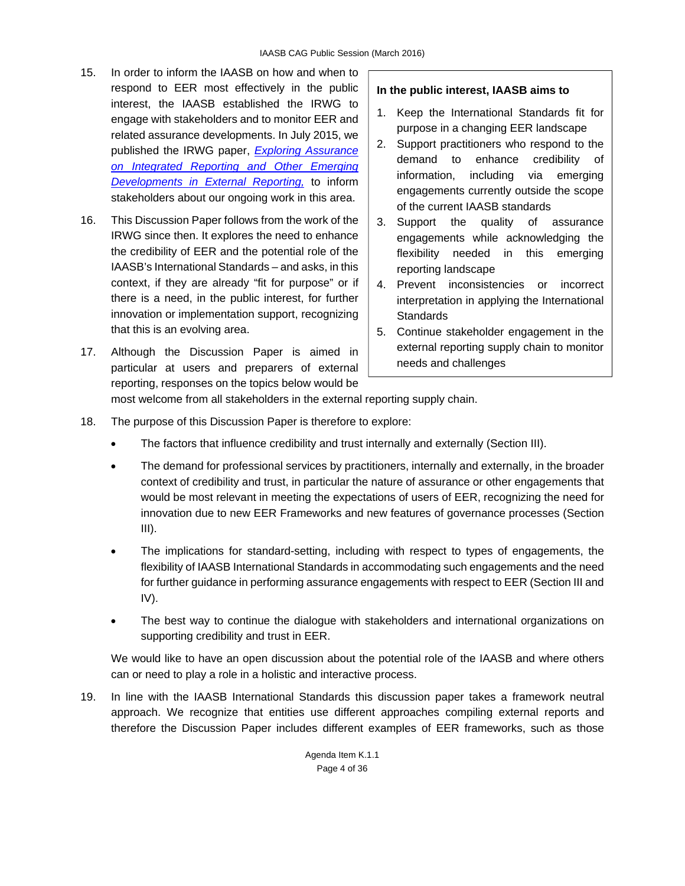- 15. In order to inform the IAASB on how and when to respond to EER most effectively in the public interest, the IAASB established the IRWG to engage with stakeholders and to monitor EER and related assurance developments. In July 2015, we published the IRWG paper, *Exploring Assurance on Integrated Reporting and Other Emerging Developments in External Reporting,* to inform stakeholders about our ongoing work in this area.
- 16. This Discussion Paper follows from the work of the IRWG since then. It explores the need to enhance the credibility of EER and the potential role of the IAASB's International Standards – and asks, in this context, if they are already "fit for purpose" or if there is a need, in the public interest, for further innovation or implementation support, recognizing that this is an evolving area.
- 17. Although the Discussion Paper is aimed in particular at users and preparers of external reporting, responses on the topics below would be

#### **In the public interest, IAASB aims to**

- 1. Keep the International Standards fit for purpose in a changing EER landscape
- 2. Support practitioners who respond to the demand to enhance credibility of information, including via emerging engagements currently outside the scope of the current IAASB standards
- 3. Support the quality of assurance engagements while acknowledging the flexibility needed in this emerging reporting landscape
- 4. Prevent inconsistencies or incorrect interpretation in applying the International **Standards**
- 5. Continue stakeholder engagement in the external reporting supply chain to monitor needs and challenges

most welcome from all stakeholders in the external reporting supply chain.

- 18. The purpose of this Discussion Paper is therefore to explore:
	- The factors that influence credibility and trust internally and externally (Section III).
	- The demand for professional services by practitioners, internally and externally, in the broader context of credibility and trust, in particular the nature of assurance or other engagements that would be most relevant in meeting the expectations of users of EER, recognizing the need for innovation due to new EER Frameworks and new features of governance processes (Section III).
	- The implications for standard-setting, including with respect to types of engagements, the flexibility of IAASB International Standards in accommodating such engagements and the need for further guidance in performing assurance engagements with respect to EER (Section III and IV).
	- The best way to continue the dialogue with stakeholders and international organizations on supporting credibility and trust in EER.

We would like to have an open discussion about the potential role of the IAASB and where others can or need to play a role in a holistic and interactive process.

19. In line with the IAASB International Standards this discussion paper takes a framework neutral approach. We recognize that entities use different approaches compiling external reports and therefore the Discussion Paper includes different examples of EER frameworks, such as those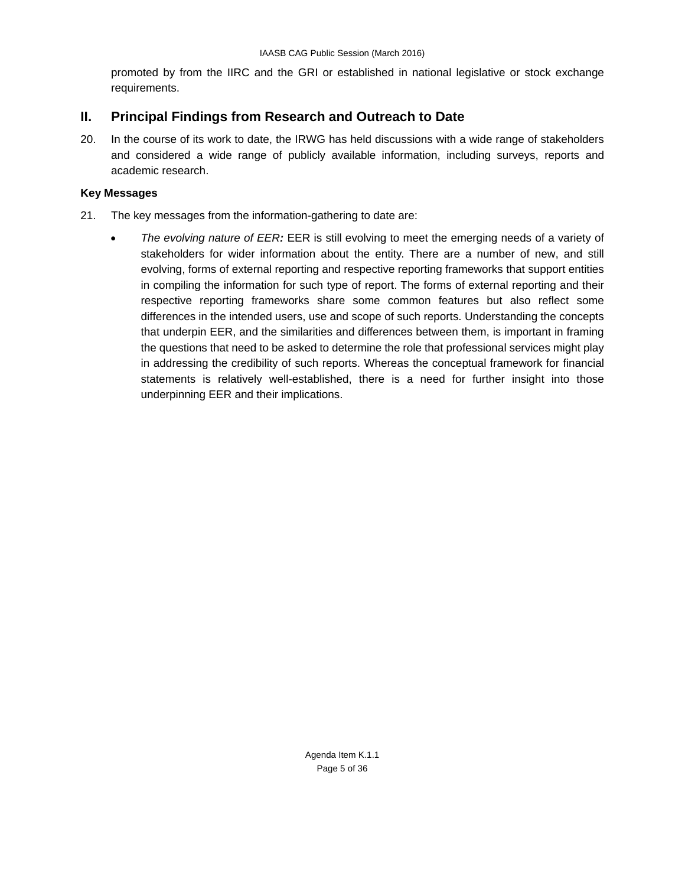promoted by from the IIRC and the GRI or established in national legislative or stock exchange requirements.

# **II. Principal Findings from Research and Outreach to Date**

20. In the course of its work to date, the IRWG has held discussions with a wide range of stakeholders and considered a wide range of publicly available information, including surveys, reports and academic research.

# **Key Messages**

- 21. The key messages from the information-gathering to date are:
	- *The evolving nature of EER:* EER is still evolving to meet the emerging needs of a variety of stakeholders for wider information about the entity. There are a number of new, and still evolving, forms of external reporting and respective reporting frameworks that support entities in compiling the information for such type of report. The forms of external reporting and their respective reporting frameworks share some common features but also reflect some differences in the intended users, use and scope of such reports. Understanding the concepts that underpin EER, and the similarities and differences between them, is important in framing the questions that need to be asked to determine the role that professional services might play in addressing the credibility of such reports. Whereas the conceptual framework for financial statements is relatively well-established, there is a need for further insight into those underpinning EER and their implications.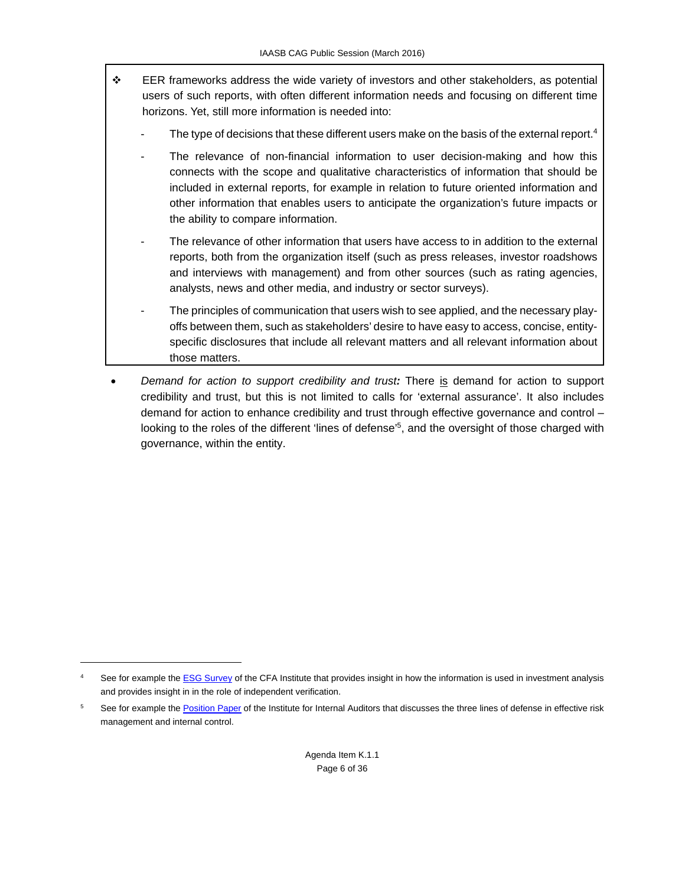- $\div$  EER frameworks address the wide variety of investors and other stakeholders, as potential users of such reports, with often different information needs and focusing on different time horizons. Yet, still more information is needed into:
	- The type of decisions that these different users make on the basis of the external report.<sup>4</sup>
	- The relevance of non-financial information to user decision-making and how this connects with the scope and qualitative characteristics of information that should be included in external reports, for example in relation to future oriented information and other information that enables users to anticipate the organization's future impacts or the ability to compare information.
	- The relevance of other information that users have access to in addition to the external reports, both from the organization itself (such as press releases, investor roadshows and interviews with management) and from other sources (such as rating agencies, analysts, news and other media, and industry or sector surveys).
	- The principles of communication that users wish to see applied, and the necessary playoffs between them, such as stakeholders' desire to have easy to access, concise, entityspecific disclosures that include all relevant matters and all relevant information about those matters.
- *Demand for action to support credibility and trust:* There is demand for action to support credibility and trust, but this is not limited to calls for 'external assurance'. It also includes demand for action to enhance credibility and trust through effective governance and control – looking to the roles of the different 'lines of defense'<sup>5</sup>, and the oversight of those charged with governance, within the entity.

<sup>4</sup> See for example the ESG Survey of the CFA Institute that provides insight in how the information is used in investment analysis and provides insight in in the role of independent verification.

<sup>5</sup> See for example the Position Paper of the Institute for Internal Auditors that discusses the three lines of defense in effective risk management and internal control.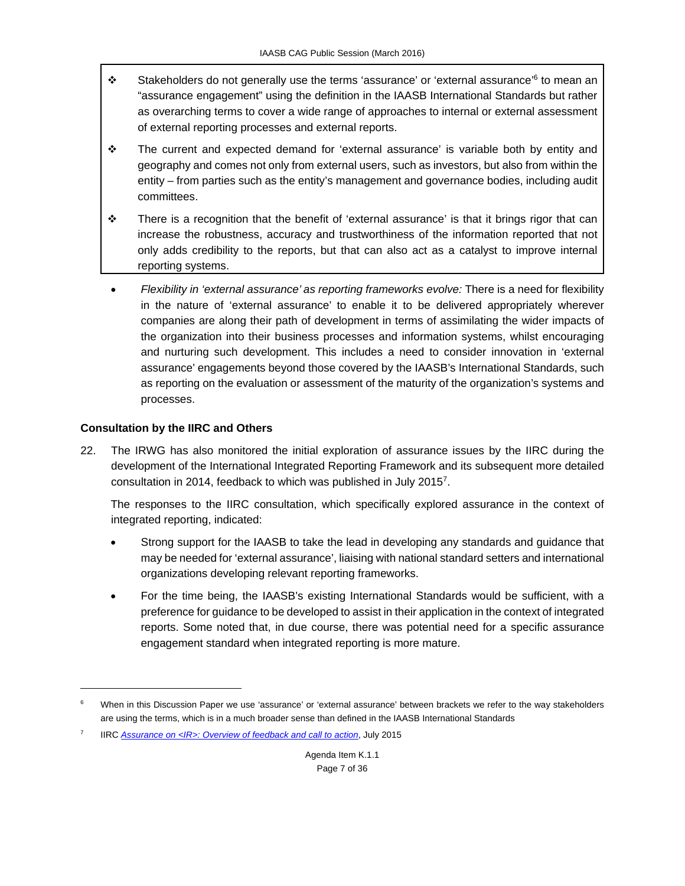- Stakeholders do not generally use the terms 'assurance' or 'external assurance'<sup>6</sup> to mean an "assurance engagement" using the definition in the IAASB International Standards but rather as overarching terms to cover a wide range of approaches to internal or external assessment of external reporting processes and external reports.
- The current and expected demand for 'external assurance' is variable both by entity and geography and comes not only from external users, such as investors, but also from within the entity – from parties such as the entity's management and governance bodies, including audit committees.
- $\div$  There is a recognition that the benefit of 'external assurance' is that it brings rigor that can increase the robustness, accuracy and trustworthiness of the information reported that not only adds credibility to the reports, but that can also act as a catalyst to improve internal reporting systems.
- *Flexibility in 'external assurance' as reporting frameworks evolve:* There is a need for flexibility in the nature of 'external assurance' to enable it to be delivered appropriately wherever companies are along their path of development in terms of assimilating the wider impacts of the organization into their business processes and information systems, whilst encouraging and nurturing such development. This includes a need to consider innovation in 'external assurance' engagements beyond those covered by the IAASB's International Standards, such as reporting on the evaluation or assessment of the maturity of the organization's systems and processes.

# **Consultation by the IIRC and Others**

l

22. The IRWG has also monitored the initial exploration of assurance issues by the IIRC during the development of the International Integrated Reporting Framework and its subsequent more detailed consultation in 2014, feedback to which was published in July 20157.

 The responses to the IIRC consultation, which specifically explored assurance in the context of integrated reporting, indicated:

- Strong support for the IAASB to take the lead in developing any standards and guidance that may be needed for 'external assurance', liaising with national standard setters and international organizations developing relevant reporting frameworks.
- For the time being, the IAASB's existing International Standards would be sufficient, with a preference for guidance to be developed to assist in their application in the context of integrated reports. Some noted that, in due course, there was potential need for a specific assurance engagement standard when integrated reporting is more mature.

<sup>6</sup> When in this Discussion Paper we use 'assurance' or 'external assurance' between brackets we refer to the way stakeholders are using the terms, which is in a much broader sense than defined in the IAASB International Standards

<sup>7</sup> IIRC *Assurance on <IR>: Overview of feedback and call to action*, July 2015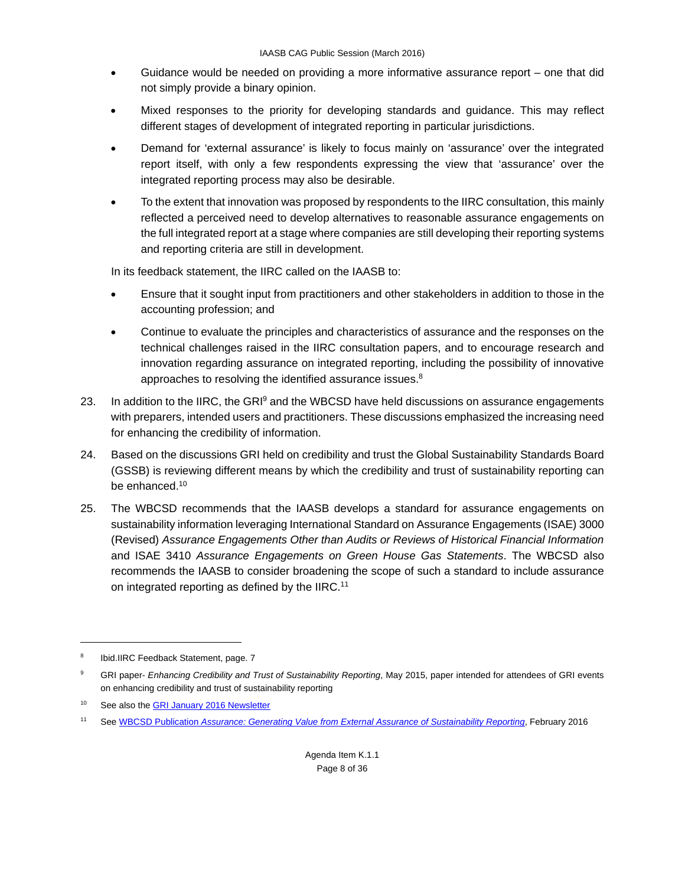- Guidance would be needed on providing a more informative assurance report one that did not simply provide a binary opinion.
- Mixed responses to the priority for developing standards and guidance. This may reflect different stages of development of integrated reporting in particular jurisdictions.
- Demand for 'external assurance' is likely to focus mainly on 'assurance' over the integrated report itself, with only a few respondents expressing the view that 'assurance' over the integrated reporting process may also be desirable.
- To the extent that innovation was proposed by respondents to the IIRC consultation, this mainly reflected a perceived need to develop alternatives to reasonable assurance engagements on the full integrated report at a stage where companies are still developing their reporting systems and reporting criteria are still in development.

In its feedback statement, the IIRC called on the IAASB to:

- Ensure that it sought input from practitioners and other stakeholders in addition to those in the accounting profession; and
- Continue to evaluate the principles and characteristics of assurance and the responses on the technical challenges raised in the IIRC consultation papers, and to encourage research and innovation regarding assurance on integrated reporting, including the possibility of innovative approaches to resolving the identified assurance issues.<sup>8</sup>
- 23. In addition to the IIRC, the GRI<sup>9</sup> and the WBCSD have held discussions on assurance engagements with preparers, intended users and practitioners. These discussions emphasized the increasing need for enhancing the credibility of information.
- 24. Based on the discussions GRI held on credibility and trust the Global Sustainability Standards Board (GSSB) is reviewing different means by which the credibility and trust of sustainability reporting can be enhanced.<sup>10</sup>
- 25. The WBCSD recommends that the IAASB develops a standard for assurance engagements on sustainability information leveraging International Standard on Assurance Engagements (ISAE) 3000 (Revised) *Assurance Engagements Other than Audits or Reviews of Historical Financial Information* and ISAE 3410 *Assurance Engagements on Green House Gas Statements*. The WBCSD also recommends the IAASB to consider broadening the scope of such a standard to include assurance on integrated reporting as defined by the IIRC.<sup>11</sup>

1

11 See WBCSD Publication *Assurance: Generating Value from External Assurance of Sustainability Reporting*, February 2016

<sup>8</sup> Ibid.IIRC Feedback Statement, page. 7

<sup>9</sup> GRI paper- *Enhancing Credibility and Trust of Sustainability Reporting*, May 2015, paper intended for attendees of GRI events on enhancing credibility and trust of sustainability reporting

<sup>&</sup>lt;sup>10</sup> See also the GRI January 2016 Newsletter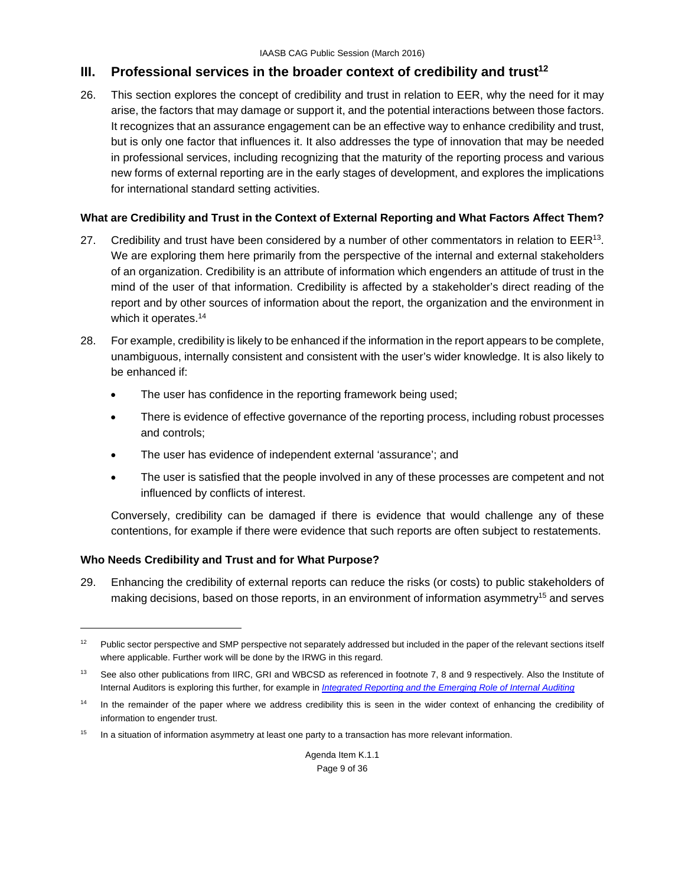# **III.** Professional services in the broader context of credibility and trust<sup>12</sup>

26. This section explores the concept of credibility and trust in relation to EER, why the need for it may arise, the factors that may damage or support it, and the potential interactions between those factors. It recognizes that an assurance engagement can be an effective way to enhance credibility and trust, but is only one factor that influences it. It also addresses the type of innovation that may be needed in professional services, including recognizing that the maturity of the reporting process and various new forms of external reporting are in the early stages of development, and explores the implications for international standard setting activities.

# **What are Credibility and Trust in the Context of External Reporting and What Factors Affect Them?**

- 27. Credibility and trust have been considered by a number of other commentators in relation to EER13. We are exploring them here primarily from the perspective of the internal and external stakeholders of an organization. Credibility is an attribute of information which engenders an attitude of trust in the mind of the user of that information. Credibility is affected by a stakeholder's direct reading of the report and by other sources of information about the report, the organization and the environment in which it operates.<sup>14</sup>
- 28. For example, credibility is likely to be enhanced if the information in the report appears to be complete, unambiguous, internally consistent and consistent with the user's wider knowledge. It is also likely to be enhanced if:
	- The user has confidence in the reporting framework being used;
	- There is evidence of effective governance of the reporting process, including robust processes and controls;
	- The user has evidence of independent external 'assurance'; and
	- The user is satisfied that the people involved in any of these processes are competent and not influenced by conflicts of interest.

Conversely, credibility can be damaged if there is evidence that would challenge any of these contentions, for example if there were evidence that such reports are often subject to restatements.

# **Who Needs Credibility and Trust and for What Purpose?**

l

29. Enhancing the credibility of external reports can reduce the risks (or costs) to public stakeholders of making decisions, based on those reports, in an environment of information asymmetry<sup>15</sup> and serves

<sup>&</sup>lt;sup>12</sup> Public sector perspective and SMP perspective not separately addressed but included in the paper of the relevant sections itself where applicable. Further work will be done by the IRWG in this regard.

<sup>&</sup>lt;sup>13</sup> See also other publications from IIRC, GRI and WBCSD as referenced in footnote 7, 8 and 9 respectively. Also the Institute of Internal Auditors is exploring this further, for example in *Integrated Reporting and the Emerging Role of Internal Auditing*

<sup>&</sup>lt;sup>14</sup> In the remainder of the paper where we address credibility this is seen in the wider context of enhancing the credibility of information to engender trust.

<sup>&</sup>lt;sup>15</sup> In a situation of information asymmetry at least one party to a transaction has more relevant information.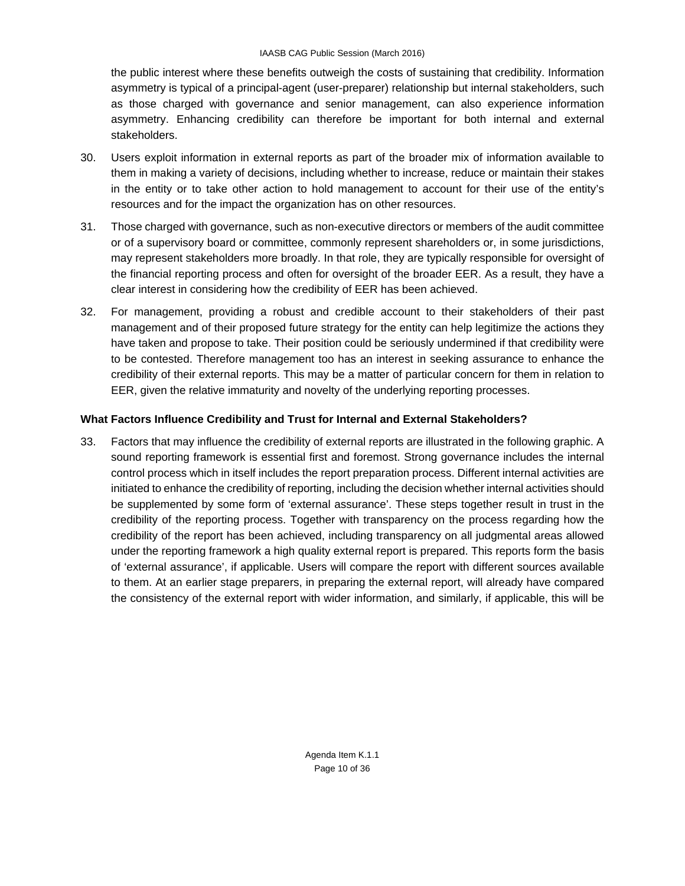the public interest where these benefits outweigh the costs of sustaining that credibility. Information asymmetry is typical of a principal-agent (user-preparer) relationship but internal stakeholders, such as those charged with governance and senior management, can also experience information asymmetry. Enhancing credibility can therefore be important for both internal and external stakeholders.

- 30. Users exploit information in external reports as part of the broader mix of information available to them in making a variety of decisions, including whether to increase, reduce or maintain their stakes in the entity or to take other action to hold management to account for their use of the entity's resources and for the impact the organization has on other resources.
- 31. Those charged with governance, such as non-executive directors or members of the audit committee or of a supervisory board or committee, commonly represent shareholders or, in some jurisdictions, may represent stakeholders more broadly. In that role, they are typically responsible for oversight of the financial reporting process and often for oversight of the broader EER. As a result, they have a clear interest in considering how the credibility of EER has been achieved.
- 32. For management, providing a robust and credible account to their stakeholders of their past management and of their proposed future strategy for the entity can help legitimize the actions they have taken and propose to take. Their position could be seriously undermined if that credibility were to be contested. Therefore management too has an interest in seeking assurance to enhance the credibility of their external reports. This may be a matter of particular concern for them in relation to EER, given the relative immaturity and novelty of the underlying reporting processes.

# **What Factors Influence Credibility and Trust for Internal and External Stakeholders?**

33. Factors that may influence the credibility of external reports are illustrated in the following graphic. A sound reporting framework is essential first and foremost. Strong governance includes the internal control process which in itself includes the report preparation process. Different internal activities are initiated to enhance the credibility of reporting, including the decision whether internal activities should be supplemented by some form of 'external assurance'. These steps together result in trust in the credibility of the reporting process. Together with transparency on the process regarding how the credibility of the report has been achieved, including transparency on all judgmental areas allowed under the reporting framework a high quality external report is prepared. This reports form the basis of 'external assurance', if applicable. Users will compare the report with different sources available to them. At an earlier stage preparers, in preparing the external report, will already have compared the consistency of the external report with wider information, and similarly, if applicable, this will be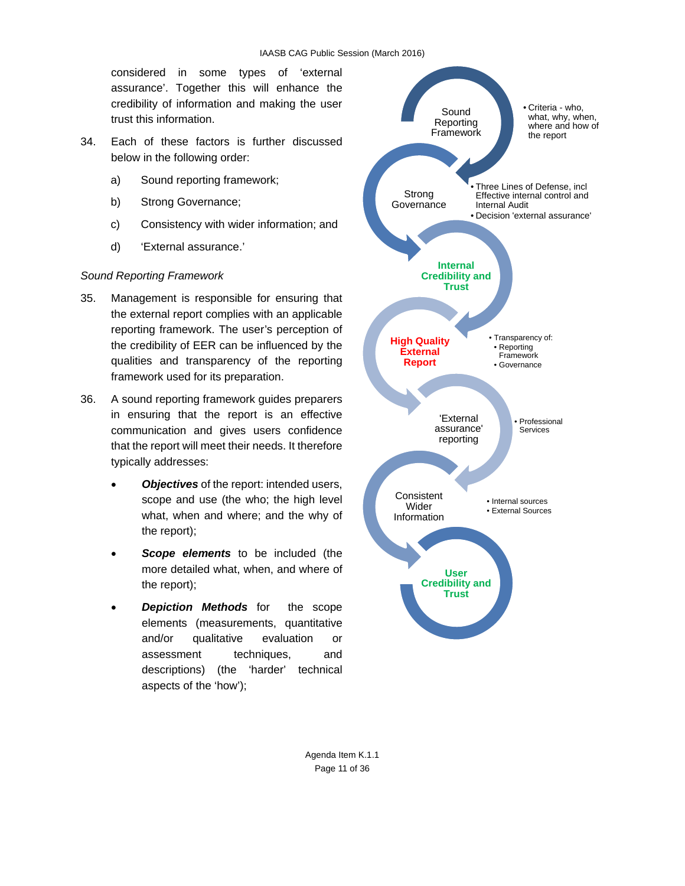considered in some types of 'external assurance'. Together this will enhance the credibility of information and making the user trust this information.

- 34. Each of these factors is further discussed below in the following order:
	- a) Sound reporting framework;
	- b) Strong Governance;
	- c) Consistency with wider information; and
	- d) 'External assurance.'

#### *Sound Reporting Framework*

- 35. Management is responsible for ensuring that the external report complies with an applicable reporting framework. The user's perception of the credibility of EER can be influenced by the qualities and transparency of the reporting framework used for its preparation.
- 36. A sound reporting framework guides preparers in ensuring that the report is an effective communication and gives users confidence that the report will meet their needs. It therefore typically addresses:
	- *Objectives* of the report: intended users, scope and use (the who; the high level what, when and where; and the why of the report);
	- **Scope elements** to be included (the more detailed what, when, and where of the report);
	- *Depiction Methods* for the scope elements (measurements, quantitative and/or qualitative evaluation or assessment techniques, and descriptions) (the 'harder' technical aspects of the 'how');



Agenda Item K.1.1 Page 11 of 36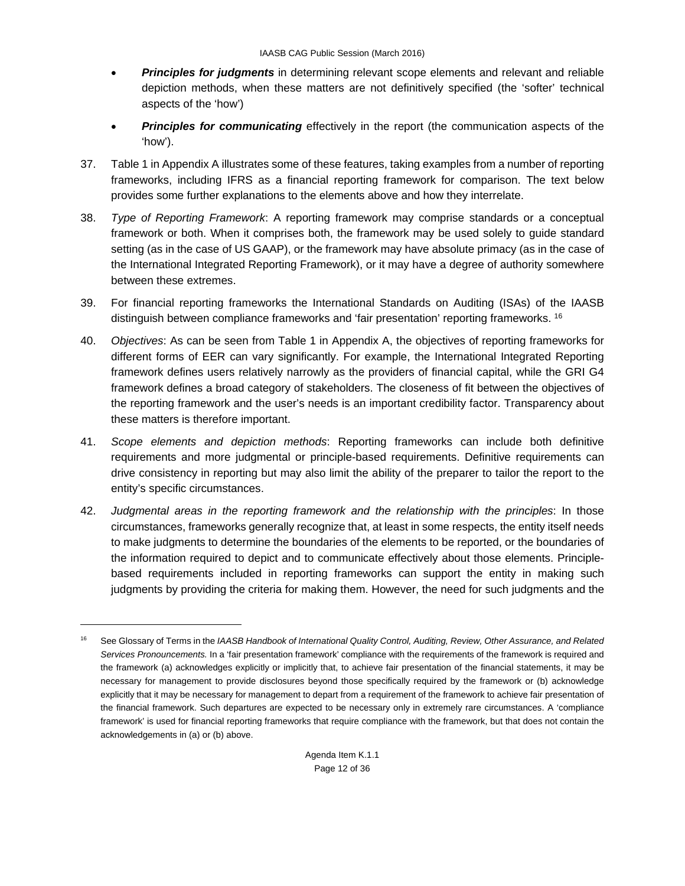- **Principles for judgments** in determining relevant scope elements and relevant and reliable depiction methods, when these matters are not definitively specified (the 'softer' technical aspects of the 'how')
- **Principles for communicating** effectively in the report (the communication aspects of the 'how').
- 37. Table 1 in Appendix A illustrates some of these features, taking examples from a number of reporting frameworks, including IFRS as a financial reporting framework for comparison. The text below provides some further explanations to the elements above and how they interrelate.
- 38. *Type of Reporting Framework*: A reporting framework may comprise standards or a conceptual framework or both. When it comprises both, the framework may be used solely to guide standard setting (as in the case of US GAAP), or the framework may have absolute primacy (as in the case of the International Integrated Reporting Framework), or it may have a degree of authority somewhere between these extremes.
- 39. For financial reporting frameworks the International Standards on Auditing (ISAs) of the IAASB distinguish between compliance frameworks and 'fair presentation' reporting frameworks. 16
- 40. *Objectives*: As can be seen from Table 1 in Appendix A, the objectives of reporting frameworks for different forms of EER can vary significantly. For example, the International Integrated Reporting framework defines users relatively narrowly as the providers of financial capital, while the GRI G4 framework defines a broad category of stakeholders. The closeness of fit between the objectives of the reporting framework and the user's needs is an important credibility factor. Transparency about these matters is therefore important.
- 41. *Scope elements and depiction methods*: Reporting frameworks can include both definitive requirements and more judgmental or principle-based requirements. Definitive requirements can drive consistency in reporting but may also limit the ability of the preparer to tailor the report to the entity's specific circumstances.
- 42. *Judgmental areas in the reporting framework and the relationship with the principles*: In those circumstances, frameworks generally recognize that, at least in some respects, the entity itself needs to make judgments to determine the boundaries of the elements to be reported, or the boundaries of the information required to depict and to communicate effectively about those elements. Principlebased requirements included in reporting frameworks can support the entity in making such judgments by providing the criteria for making them. However, the need for such judgments and the

1

<sup>16</sup> See Glossary of Terms in the *IAASB Handbook of International Quality Control, Auditing, Review, Other Assurance, and Related Services Pronouncements.* In a 'fair presentation framework' compliance with the requirements of the framework is required and the framework (a) acknowledges explicitly or implicitly that, to achieve fair presentation of the financial statements, it may be necessary for management to provide disclosures beyond those specifically required by the framework or (b) acknowledge explicitly that it may be necessary for management to depart from a requirement of the framework to achieve fair presentation of the financial framework. Such departures are expected to be necessary only in extremely rare circumstances. A 'compliance framework' is used for financial reporting frameworks that require compliance with the framework, but that does not contain the acknowledgements in (a) or (b) above.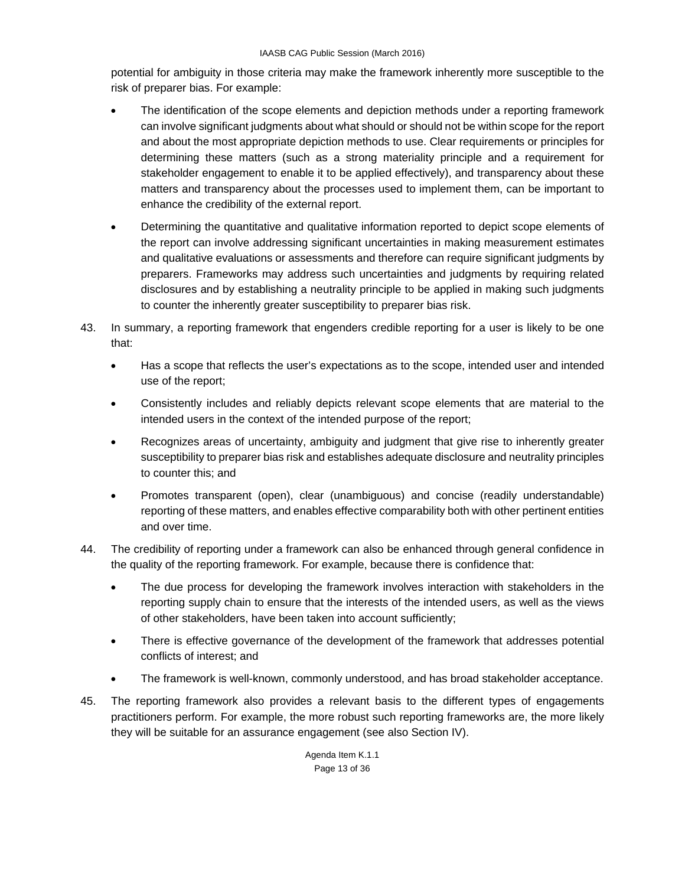potential for ambiguity in those criteria may make the framework inherently more susceptible to the risk of preparer bias. For example:

- The identification of the scope elements and depiction methods under a reporting framework can involve significant judgments about what should or should not be within scope for the report and about the most appropriate depiction methods to use. Clear requirements or principles for determining these matters (such as a strong materiality principle and a requirement for stakeholder engagement to enable it to be applied effectively), and transparency about these matters and transparency about the processes used to implement them, can be important to enhance the credibility of the external report.
- Determining the quantitative and qualitative information reported to depict scope elements of the report can involve addressing significant uncertainties in making measurement estimates and qualitative evaluations or assessments and therefore can require significant judgments by preparers. Frameworks may address such uncertainties and judgments by requiring related disclosures and by establishing a neutrality principle to be applied in making such judgments to counter the inherently greater susceptibility to preparer bias risk.
- 43. In summary, a reporting framework that engenders credible reporting for a user is likely to be one that:
	- Has a scope that reflects the user's expectations as to the scope, intended user and intended use of the report;
	- Consistently includes and reliably depicts relevant scope elements that are material to the intended users in the context of the intended purpose of the report;
	- Recognizes areas of uncertainty, ambiguity and judgment that give rise to inherently greater susceptibility to preparer bias risk and establishes adequate disclosure and neutrality principles to counter this; and
	- Promotes transparent (open), clear (unambiguous) and concise (readily understandable) reporting of these matters, and enables effective comparability both with other pertinent entities and over time.
- 44. The credibility of reporting under a framework can also be enhanced through general confidence in the quality of the reporting framework. For example, because there is confidence that:
	- The due process for developing the framework involves interaction with stakeholders in the reporting supply chain to ensure that the interests of the intended users, as well as the views of other stakeholders, have been taken into account sufficiently;
	- There is effective governance of the development of the framework that addresses potential conflicts of interest; and
	- The framework is well-known, commonly understood, and has broad stakeholder acceptance.
- 45. The reporting framework also provides a relevant basis to the different types of engagements practitioners perform. For example, the more robust such reporting frameworks are, the more likely they will be suitable for an assurance engagement (see also Section IV).

Agenda Item K.1.1 Page 13 of 36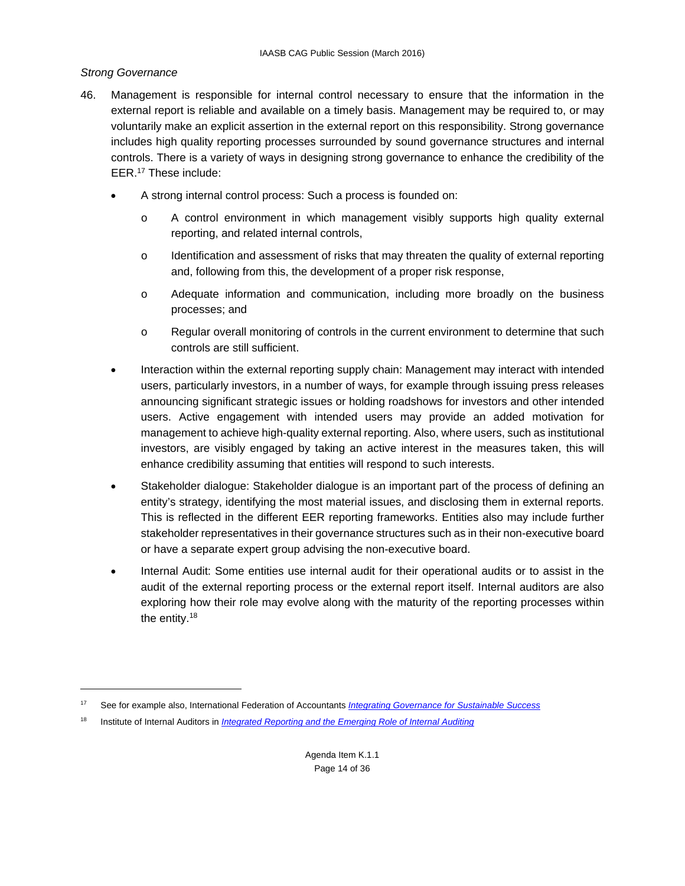#### *Strong Governance*

- 46. Management is responsible for internal control necessary to ensure that the information in the external report is reliable and available on a timely basis. Management may be required to, or may voluntarily make an explicit assertion in the external report on this responsibility. Strong governance includes high quality reporting processes surrounded by sound governance structures and internal controls. There is a variety of ways in designing strong governance to enhance the credibility of the EER.17 These include:
	- A strong internal control process: Such a process is founded on:
		- o A control environment in which management visibly supports high quality external reporting, and related internal controls,
		- $\circ$  Identification and assessment of risks that may threaten the quality of external reporting and, following from this, the development of a proper risk response,
		- o Adequate information and communication, including more broadly on the business processes; and
		- o Regular overall monitoring of controls in the current environment to determine that such controls are still sufficient.
	- Interaction within the external reporting supply chain: Management may interact with intended users, particularly investors, in a number of ways, for example through issuing press releases announcing significant strategic issues or holding roadshows for investors and other intended users. Active engagement with intended users may provide an added motivation for management to achieve high-quality external reporting. Also, where users, such as institutional investors, are visibly engaged by taking an active interest in the measures taken, this will enhance credibility assuming that entities will respond to such interests.
	- Stakeholder dialogue: Stakeholder dialogue is an important part of the process of defining an entity's strategy, identifying the most material issues, and disclosing them in external reports. This is reflected in the different EER reporting frameworks. Entities also may include further stakeholder representatives in their governance structures such as in their non-executive board or have a separate expert group advising the non-executive board.
	- Internal Audit: Some entities use internal audit for their operational audits or to assist in the audit of the external reporting process or the external report itself. Internal auditors are also exploring how their role may evolve along with the maturity of the reporting processes within the entity.18

<sup>17</sup> See for example also, International Federation of Accountants *Integrating Governance for Sustainable Success*

<sup>18</sup> Institute of Internal Auditors in *Integrated Reporting and the Emerging Role of Internal Auditing*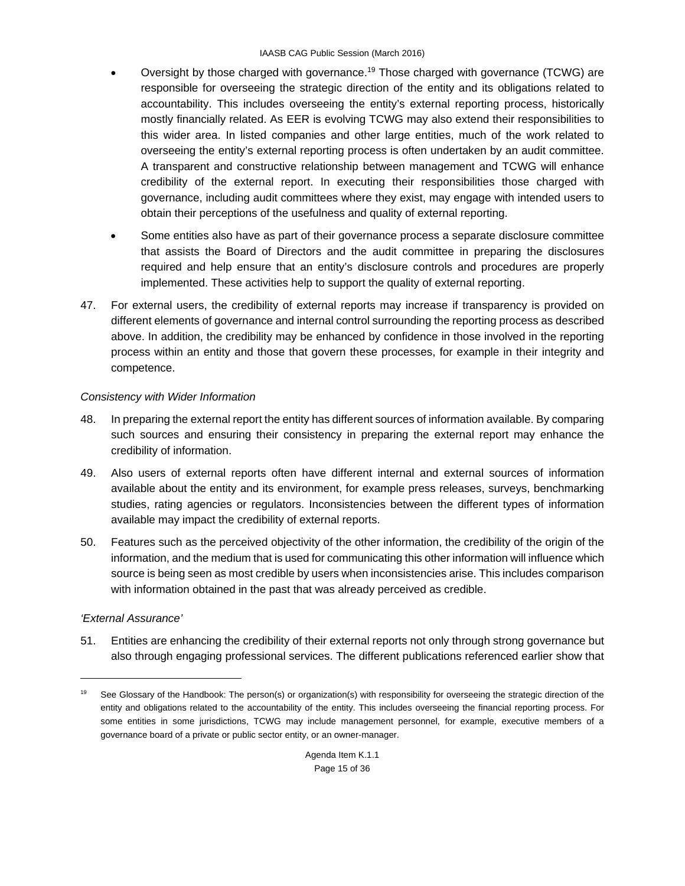- Oversight by those charged with governance.19 Those charged with governance (TCWG) are responsible for overseeing the strategic direction of the entity and its obligations related to accountability. This includes overseeing the entity's external reporting process, historically mostly financially related. As EER is evolving TCWG may also extend their responsibilities to this wider area. In listed companies and other large entities, much of the work related to overseeing the entity's external reporting process is often undertaken by an audit committee. A transparent and constructive relationship between management and TCWG will enhance credibility of the external report. In executing their responsibilities those charged with governance, including audit committees where they exist, may engage with intended users to obtain their perceptions of the usefulness and quality of external reporting.
- Some entities also have as part of their governance process a separate disclosure committee that assists the Board of Directors and the audit committee in preparing the disclosures required and help ensure that an entity's disclosure controls and procedures are properly implemented. These activities help to support the quality of external reporting.
- 47. For external users, the credibility of external reports may increase if transparency is provided on different elements of governance and internal control surrounding the reporting process as described above. In addition, the credibility may be enhanced by confidence in those involved in the reporting process within an entity and those that govern these processes, for example in their integrity and competence.

# *Consistency with Wider Information*

- 48. In preparing the external report the entity has different sources of information available. By comparing such sources and ensuring their consistency in preparing the external report may enhance the credibility of information.
- 49. Also users of external reports often have different internal and external sources of information available about the entity and its environment, for example press releases, surveys, benchmarking studies, rating agencies or regulators. Inconsistencies between the different types of information available may impact the credibility of external reports.
- 50. Features such as the perceived objectivity of the other information, the credibility of the origin of the information, and the medium that is used for communicating this other information will influence which source is being seen as most credible by users when inconsistencies arise. This includes comparison with information obtained in the past that was already perceived as credible.

# *'External Assurance'*

l

51. Entities are enhancing the credibility of their external reports not only through strong governance but also through engaging professional services. The different publications referenced earlier show that

<sup>&</sup>lt;sup>19</sup> See Glossary of the Handbook: The person(s) or organization(s) with responsibility for overseeing the strategic direction of the entity and obligations related to the accountability of the entity. This includes overseeing the financial reporting process. For some entities in some jurisdictions, TCWG may include management personnel, for example, executive members of a governance board of a private or public sector entity, or an owner-manager.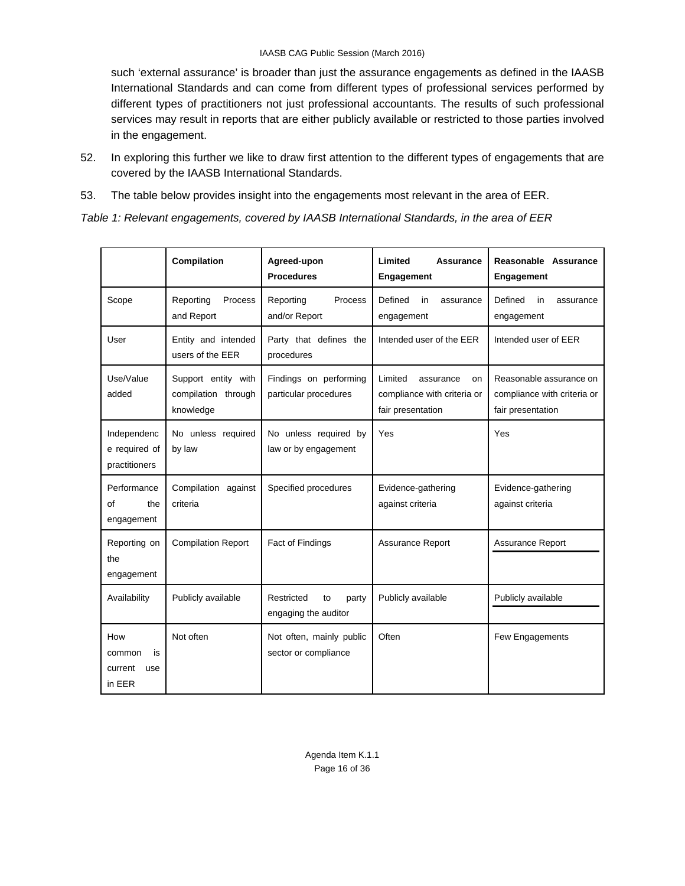such 'external assurance' is broader than just the assurance engagements as defined in the IAASB International Standards and can come from different types of professional services performed by different types of practitioners not just professional accountants. The results of such professional services may result in reports that are either publicly available or restricted to those parties involved in the engagement.

- 52. In exploring this further we like to draw first attention to the different types of engagements that are covered by the IAASB International Standards.
- 53. The table below provides insight into the engagements most relevant in the area of EER.

*Table 1: Relevant engagements, covered by IAASB International Standards, in the area of EER* 

|                                                 | <b>Compilation</b>                                      | Agreed-upon<br><b>Procedures</b>                  | Limited<br><b>Assurance</b><br>Engagement                                      | Reasonable Assurance<br>Engagement                                          |  |
|-------------------------------------------------|---------------------------------------------------------|---------------------------------------------------|--------------------------------------------------------------------------------|-----------------------------------------------------------------------------|--|
| Scope                                           | Reporting<br>Process<br>and Report                      | Reporting<br>Process<br>and/or Report             | Defined<br>in<br>assurance<br>engagement                                       | Defined<br>in<br>assurance<br>engagement                                    |  |
| User                                            | Entity and intended<br>users of the EER                 | Party that defines the<br>procedures              | Intended user of the EER                                                       | Intended user of EER                                                        |  |
| Use/Value<br>added                              | Support entity with<br>compilation through<br>knowledge | Findings on performing<br>particular procedures   | Limited<br>assurance<br>on<br>compliance with criteria or<br>fair presentation | Reasonable assurance on<br>compliance with criteria or<br>fair presentation |  |
| Independenc<br>e required of<br>practitioners   | No unless required<br>by law                            | No unless required by<br>law or by engagement     | Yes                                                                            | Yes                                                                         |  |
| Performance<br>the<br>οf<br>engagement          | Compilation against<br>criteria                         | Specified procedures                              | Evidence-gathering<br>against criteria                                         | Evidence-gathering<br>against criteria                                      |  |
| Reporting on<br>the<br>engagement               | <b>Compilation Report</b>                               | Fact of Findings                                  | Assurance Report                                                               | Assurance Report                                                            |  |
| Availability                                    | Publicly available                                      | Restricted<br>to<br>party<br>engaging the auditor | Publicly available                                                             | Publicly available                                                          |  |
| How<br>common<br>is<br>current<br>use<br>in EER | Not often                                               | Not often, mainly public<br>sector or compliance  | Often                                                                          | Few Engagements                                                             |  |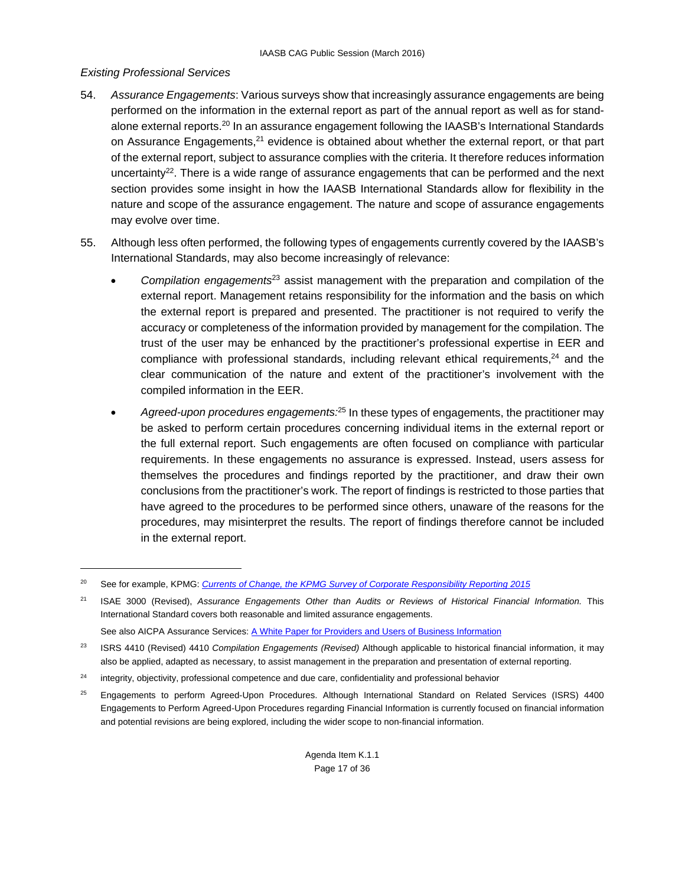#### *Existing Professional Services*

- 54. *Assurance Engagements*: Various surveys show that increasingly assurance engagements are being performed on the information in the external report as part of the annual report as well as for standalone external reports.20 In an assurance engagement following the IAASB's International Standards on Assurance Engagements,<sup>21</sup> evidence is obtained about whether the external report, or that part of the external report, subject to assurance complies with the criteria. It therefore reduces information uncertainty<sup>22</sup>. There is a wide range of assurance engagements that can be performed and the next section provides some insight in how the IAASB International Standards allow for flexibility in the nature and scope of the assurance engagement. The nature and scope of assurance engagements may evolve over time.
- 55. Although less often performed, the following types of engagements currently covered by the IAASB's International Standards, may also become increasingly of relevance:
	- *Compilation engagements*23 assist management with the preparation and compilation of the external report. Management retains responsibility for the information and the basis on which the external report is prepared and presented. The practitioner is not required to verify the accuracy or completeness of the information provided by management for the compilation. The trust of the user may be enhanced by the practitioner's professional expertise in EER and compliance with professional standards, including relevant ethical requirements, $24$  and the clear communication of the nature and extent of the practitioner's involvement with the compiled information in the EER.
	- *Agreed-upon procedures engagements:*25 In these types of engagements, the practitioner may be asked to perform certain procedures concerning individual items in the external report or the full external report. Such engagements are often focused on compliance with particular requirements. In these engagements no assurance is expressed. Instead, users assess for themselves the procedures and findings reported by the practitioner, and draw their own conclusions from the practitioner's work. The report of findings is restricted to those parties that have agreed to the procedures to be performed since others, unaware of the reasons for the procedures, may misinterpret the results. The report of findings therefore cannot be included in the external report.

<sup>20</sup> See for example, KPMG: *Currents of Change, the KPMG Survey of Corporate Responsibility Reporting 2015*

<sup>21</sup> ISAE 3000 (Revised), *Assurance Engagements Other than Audits or Reviews of Historical Financial Information.* This International Standard covers both reasonable and limited assurance engagements.

See also AICPA Assurance Services: A White Paper for Providers and Users of Business Information

<sup>23</sup> ISRS 4410 (Revised) 4410 *Compilation Engagements (Revised)* Although applicable to historical financial information, it may also be applied, adapted as necessary, to assist management in the preparation and presentation of external reporting.

<sup>&</sup>lt;sup>24</sup> integrity, objectivity, professional competence and due care, confidentiality and professional behavior

<sup>&</sup>lt;sup>25</sup> Engagements to perform Agreed-Upon Procedures. Although International Standard on Related Services (ISRS) 4400 Engagements to Perform Agreed-Upon Procedures regarding Financial Information is currently focused on financial information and potential revisions are being explored, including the wider scope to non-financial information.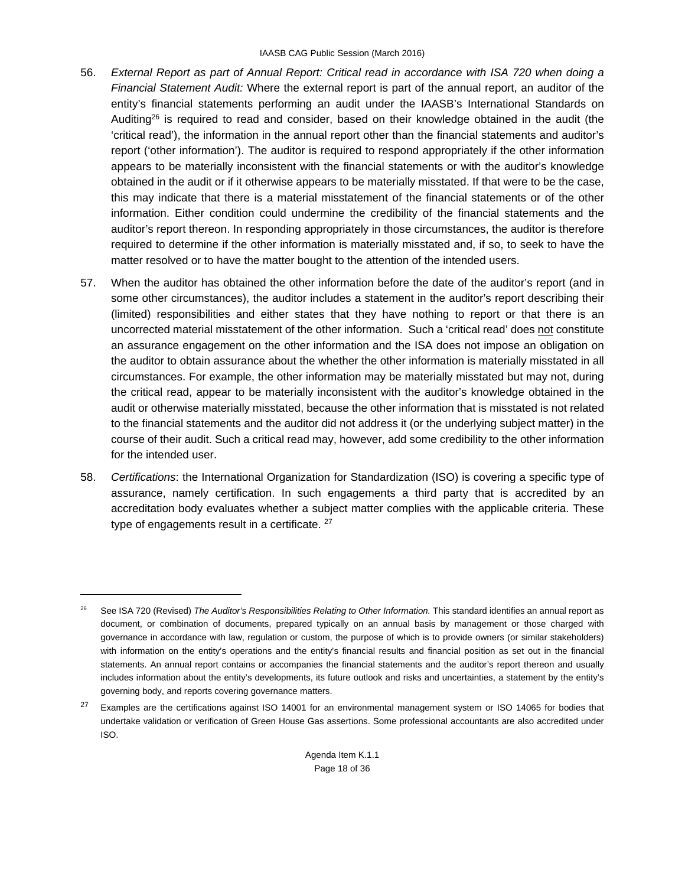- 56. *External Report as part of Annual Report: Critical read in accordance with ISA 720 when doing a Financial Statement Audit:* Where the external report is part of the annual report, an auditor of the entity's financial statements performing an audit under the IAASB's International Standards on Auditing<sup>26</sup> is required to read and consider, based on their knowledge obtained in the audit (the 'critical read'), the information in the annual report other than the financial statements and auditor's report ('other information'). The auditor is required to respond appropriately if the other information appears to be materially inconsistent with the financial statements or with the auditor's knowledge obtained in the audit or if it otherwise appears to be materially misstated. If that were to be the case, this may indicate that there is a material misstatement of the financial statements or of the other information. Either condition could undermine the credibility of the financial statements and the auditor's report thereon. In responding appropriately in those circumstances, the auditor is therefore required to determine if the other information is materially misstated and, if so, to seek to have the matter resolved or to have the matter bought to the attention of the intended users.
- 57. When the auditor has obtained the other information before the date of the auditor's report (and in some other circumstances), the auditor includes a statement in the auditor's report describing their (limited) responsibilities and either states that they have nothing to report or that there is an uncorrected material misstatement of the other information. Such a 'critical read' does not constitute an assurance engagement on the other information and the ISA does not impose an obligation on the auditor to obtain assurance about the whether the other information is materially misstated in all circumstances. For example, the other information may be materially misstated but may not, during the critical read, appear to be materially inconsistent with the auditor's knowledge obtained in the audit or otherwise materially misstated, because the other information that is misstated is not related to the financial statements and the auditor did not address it (or the underlying subject matter) in the course of their audit. Such a critical read may, however, add some credibility to the other information for the intended user.
- 58. *Certifications*: the International Organization for Standardization (ISO) is covering a specific type of assurance, namely certification. In such engagements a third party that is accredited by an accreditation body evaluates whether a subject matter complies with the applicable criteria. These type of engagements result in a certificate. <sup>27</sup>

1

<sup>&</sup>lt;sup>26</sup> See ISA 720 (Revised) *The Auditor's Responsibilities Relating to Other Information*. This standard identifies an annual report as document, or combination of documents, prepared typically on an annual basis by management or those charged with governance in accordance with law, regulation or custom, the purpose of which is to provide owners (or similar stakeholders) with information on the entity's operations and the entity's financial results and financial position as set out in the financial statements. An annual report contains or accompanies the financial statements and the auditor's report thereon and usually includes information about the entity's developments, its future outlook and risks and uncertainties, a statement by the entity's governing body, and reports covering governance matters.

<sup>&</sup>lt;sup>27</sup> Examples are the certifications against ISO 14001 for an environmental management system or ISO 14065 for bodies that undertake validation or verification of Green House Gas assertions. Some professional accountants are also accredited under ISO.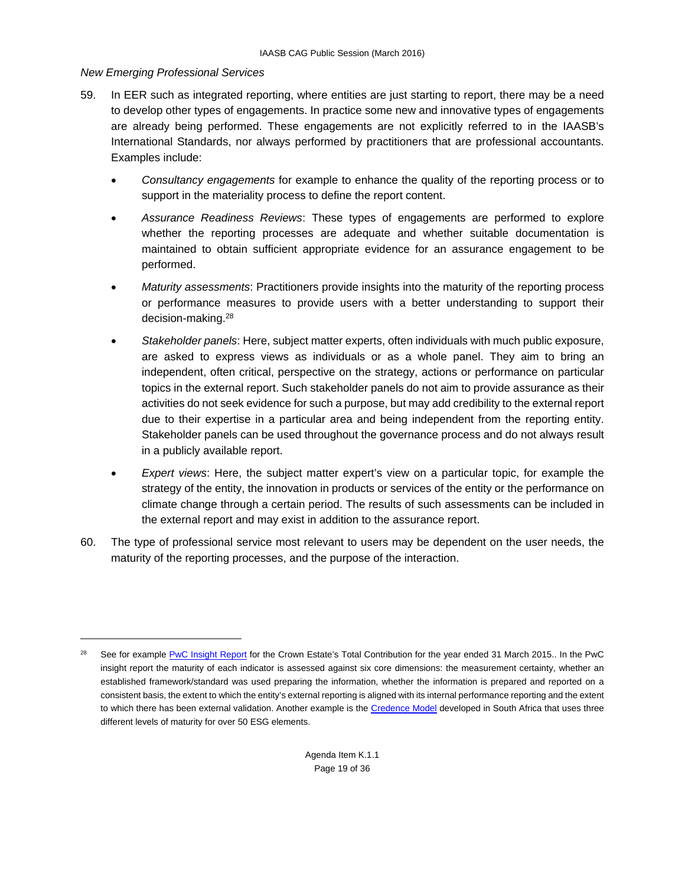#### *New Emerging Professional Services*

- 59. In EER such as integrated reporting, where entities are just starting to report, there may be a need to develop other types of engagements. In practice some new and innovative types of engagements are already being performed. These engagements are not explicitly referred to in the IAASB's International Standards, nor always performed by practitioners that are professional accountants. Examples include:
	- *Consultancy engagements* for example to enhance the quality of the reporting process or to support in the materiality process to define the report content.
	- *Assurance Readiness Reviews*: These types of engagements are performed to explore whether the reporting processes are adequate and whether suitable documentation is maintained to obtain sufficient appropriate evidence for an assurance engagement to be performed.
	- *Maturity assessments*: Practitioners provide insights into the maturity of the reporting process or performance measures to provide users with a better understanding to support their decision-making.28
	- *Stakeholder panels*: Here, subject matter experts, often individuals with much public exposure, are asked to express views as individuals or as a whole panel. They aim to bring an independent, often critical, perspective on the strategy, actions or performance on particular topics in the external report. Such stakeholder panels do not aim to provide assurance as their activities do not seek evidence for such a purpose, but may add credibility to the external report due to their expertise in a particular area and being independent from the reporting entity. Stakeholder panels can be used throughout the governance process and do not always result in a publicly available report.
	- *Expert views*: Here, the subject matter expert's view on a particular topic, for example the strategy of the entity, the innovation in products or services of the entity or the performance on climate change through a certain period. The results of such assessments can be included in the external report and may exist in addition to the assurance report.
- 60. The type of professional service most relevant to users may be dependent on the user needs, the maturity of the reporting processes, and the purpose of the interaction.

See for example PwC Insight Report for the Crown Estate's Total Contribution for the year ended 31 March 2015. In the PwC insight report the maturity of each indicator is assessed against six core dimensions: the measurement certainty, whether an established framework/standard was used preparing the information, whether the information is prepared and reported on a consistent basis, the extent to which the entity's external reporting is aligned with its internal performance reporting and the extent to which there has been external validation. Another example is the Credence Model developed in South Africa that uses three different levels of maturity for over 50 ESG elements.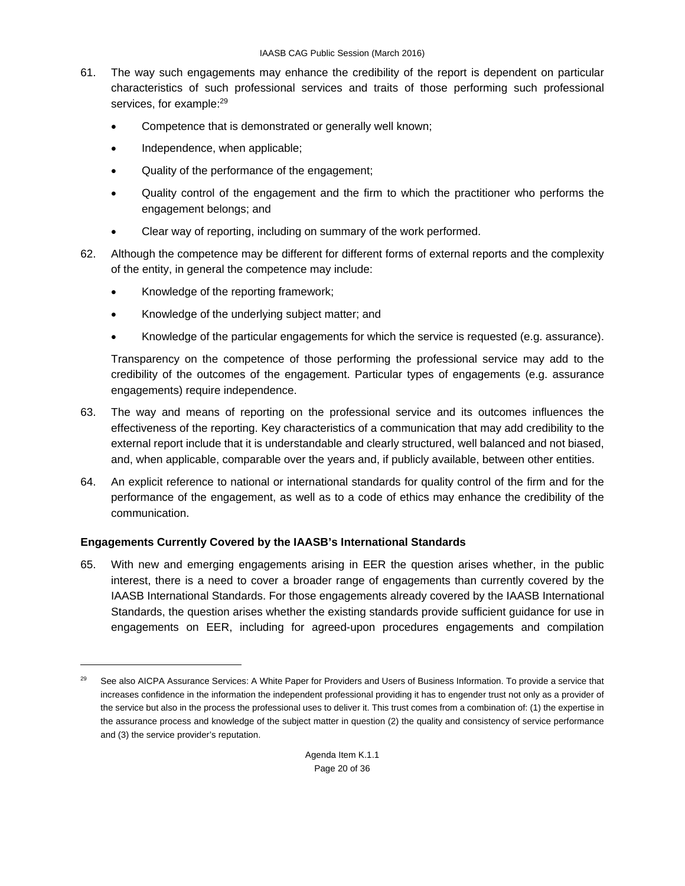- 61. The way such engagements may enhance the credibility of the report is dependent on particular characteristics of such professional services and traits of those performing such professional services, for example:<sup>29</sup>
	- Competence that is demonstrated or generally well known;
	- Independence, when applicable;
	- Quality of the performance of the engagement;
	- Quality control of the engagement and the firm to which the practitioner who performs the engagement belongs; and
	- Clear way of reporting, including on summary of the work performed.
- 62. Although the competence may be different for different forms of external reports and the complexity of the entity, in general the competence may include:
	- Knowledge of the reporting framework;

l

- Knowledge of the underlying subject matter; and
- Knowledge of the particular engagements for which the service is requested (e.g. assurance).

Transparency on the competence of those performing the professional service may add to the credibility of the outcomes of the engagement. Particular types of engagements (e.g. assurance engagements) require independence.

- 63. The way and means of reporting on the professional service and its outcomes influences the effectiveness of the reporting. Key characteristics of a communication that may add credibility to the external report include that it is understandable and clearly structured, well balanced and not biased, and, when applicable, comparable over the years and, if publicly available, between other entities.
- 64. An explicit reference to national or international standards for quality control of the firm and for the performance of the engagement, as well as to a code of ethics may enhance the credibility of the communication.

# **Engagements Currently Covered by the IAASB's International Standards**

65. With new and emerging engagements arising in EER the question arises whether, in the public interest, there is a need to cover a broader range of engagements than currently covered by the IAASB International Standards. For those engagements already covered by the IAASB International Standards, the question arises whether the existing standards provide sufficient guidance for use in engagements on EER, including for agreed-upon procedures engagements and compilation

<sup>&</sup>lt;sup>29</sup> See also AICPA Assurance Services: A White Paper for Providers and Users of Business Information. To provide a service that increases confidence in the information the independent professional providing it has to engender trust not only as a provider of the service but also in the process the professional uses to deliver it. This trust comes from a combination of: (1) the expertise in the assurance process and knowledge of the subject matter in question (2) the quality and consistency of service performance and (3) the service provider's reputation.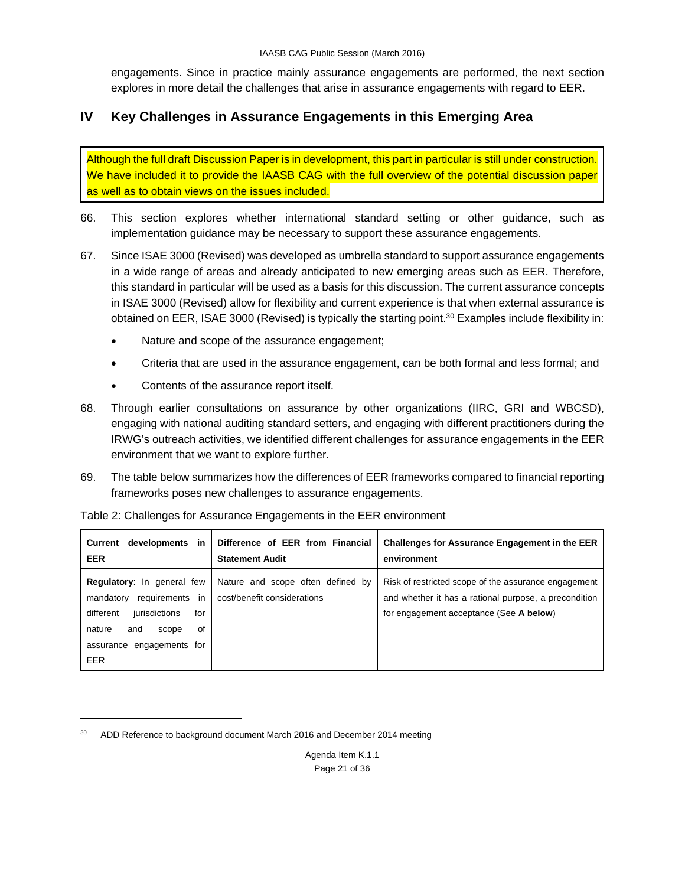engagements. Since in practice mainly assurance engagements are performed, the next section explores in more detail the challenges that arise in assurance engagements with regard to EER.

# **IV Key Challenges in Assurance Engagements in this Emerging Area**

Although the full draft Discussion Paper is in development, this part in particular is still under construction. We have included it to provide the IAASB CAG with the full overview of the potential discussion paper as well as to obtain views on the issues included.

- 66. This section explores whether international standard setting or other guidance, such as implementation guidance may be necessary to support these assurance engagements.
- 67. Since ISAE 3000 (Revised) was developed as umbrella standard to support assurance engagements in a wide range of areas and already anticipated to new emerging areas such as EER. Therefore, this standard in particular will be used as a basis for this discussion. The current assurance concepts in ISAE 3000 (Revised) allow for flexibility and current experience is that when external assurance is obtained on EER, ISAE 3000 (Revised) is typically the starting point.<sup>30</sup> Examples include flexibility in:
	- Nature and scope of the assurance engagement;
	- Criteria that are used in the assurance engagement, can be both formal and less formal; and
	- Contents of the assurance report itself.
- 68. Through earlier consultations on assurance by other organizations (IIRC, GRI and WBCSD), engaging with national auditing standard setters, and engaging with different practitioners during the IRWG's outreach activities, we identified different challenges for assurance engagements in the EER environment that we want to explore further.
- 69. The table below summarizes how the differences of EER frameworks compared to financial reporting frameworks poses new challenges to assurance engagements.

| developments<br>Current<br>in<br><b>EER</b>                                                                                                                                          | Difference of EER from Financial<br><b>Statement Audit</b>       | <b>Challenges for Assurance Engagement in the EER</b><br>environment                                                                                     |
|--------------------------------------------------------------------------------------------------------------------------------------------------------------------------------------|------------------------------------------------------------------|----------------------------------------------------------------------------------------------------------------------------------------------------------|
| <b>Regulatory:</b> In general few<br>requirements in<br>mandatory<br>different<br>jurisdictions<br>for<br>οf<br>nature<br>and<br>scope<br>engagements for<br>assurance<br><b>EER</b> | Nature and scope often defined by<br>cost/benefit considerations | Risk of restricted scope of the assurance engagement<br>and whether it has a rational purpose, a precondition<br>for engagement acceptance (See A below) |

Table 2: Challenges for Assurance Engagements in the EER environment

<sup>&</sup>lt;sup>30</sup> ADD Reference to background document March 2016 and December 2014 meeting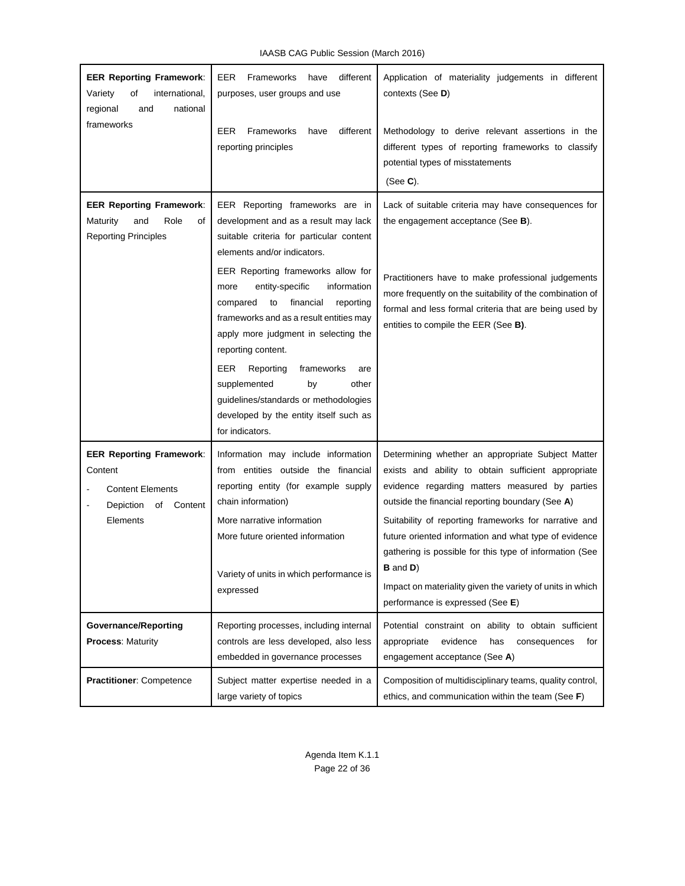| <b>EER Reporting Framework:</b><br>Variety<br>οf<br>international,<br>national<br>regional<br>and<br>frameworks | <b>EER</b> Frameworks<br>different<br>have<br>purposes, user groups and use                                                                                                                                                       | Application of materiality judgements in different<br>contexts (See D)<br>Methodology to derive relevant assertions in the<br>different types of reporting frameworks to classify<br>potential types of misstatements<br>(See $C$ ).                                                                                                                                                        |  |
|-----------------------------------------------------------------------------------------------------------------|-----------------------------------------------------------------------------------------------------------------------------------------------------------------------------------------------------------------------------------|---------------------------------------------------------------------------------------------------------------------------------------------------------------------------------------------------------------------------------------------------------------------------------------------------------------------------------------------------------------------------------------------|--|
|                                                                                                                 | Frameworks<br>different<br>EER<br>have<br>reporting principles                                                                                                                                                                    |                                                                                                                                                                                                                                                                                                                                                                                             |  |
| <b>EER Reporting Framework:</b><br>Maturity<br>and<br>Role<br>οf<br><b>Reporting Principles</b>                 | EER Reporting frameworks are in<br>development and as a result may lack<br>suitable criteria for particular content<br>elements and/or indicators.                                                                                | Lack of suitable criteria may have consequences for<br>the engagement acceptance (See B).                                                                                                                                                                                                                                                                                                   |  |
|                                                                                                                 | EER Reporting frameworks allow for<br>entity-specific<br>information<br>more<br>to<br>financial<br>reporting<br>compared<br>frameworks and as a result entities may<br>apply more judgment in selecting the<br>reporting content. | Practitioners have to make professional judgements<br>more frequently on the suitability of the combination of<br>formal and less formal criteria that are being used by<br>entities to compile the EER (See B).                                                                                                                                                                            |  |
|                                                                                                                 | EER<br>Reporting<br>frameworks<br>are<br>supplemented<br>by<br>other<br>guidelines/standards or methodologies<br>developed by the entity itself such as<br>for indicators.                                                        |                                                                                                                                                                                                                                                                                                                                                                                             |  |
| <b>EER Reporting Framework:</b><br>Content<br><b>Content Elements</b><br>Depiction<br>of<br>Content<br>Elements | Information may include information<br>from entities outside the financial<br>reporting entity (for example supply<br>chain information)<br>More narrative information<br>More future oriented information                        | Determining whether an appropriate Subject Matter<br>exists and ability to obtain sufficient appropriate<br>evidence regarding matters measured by parties<br>outside the financial reporting boundary (See A)<br>Suitability of reporting frameworks for narrative and<br>future oriented information and what type of evidence<br>gathering is possible for this type of information (See |  |
|                                                                                                                 | Variety of units in which performance is<br>expressed                                                                                                                                                                             | <b>B</b> and <b>D</b> )<br>Impact on materiality given the variety of units in which<br>performance is expressed (See E)                                                                                                                                                                                                                                                                    |  |
| <b>Governance/Reporting</b><br><b>Process: Maturity</b>                                                         | Reporting processes, including internal<br>controls are less developed, also less<br>embedded in governance processes                                                                                                             | Potential constraint on ability to obtain sufficient<br>appropriate<br>evidence<br>has<br>consequences<br>for<br>engagement acceptance (See A)                                                                                                                                                                                                                                              |  |
| Practitioner: Competence                                                                                        | Subject matter expertise needed in a<br>large variety of topics                                                                                                                                                                   | Composition of multidisciplinary teams, quality control,<br>ethics, and communication within the team (See F)                                                                                                                                                                                                                                                                               |  |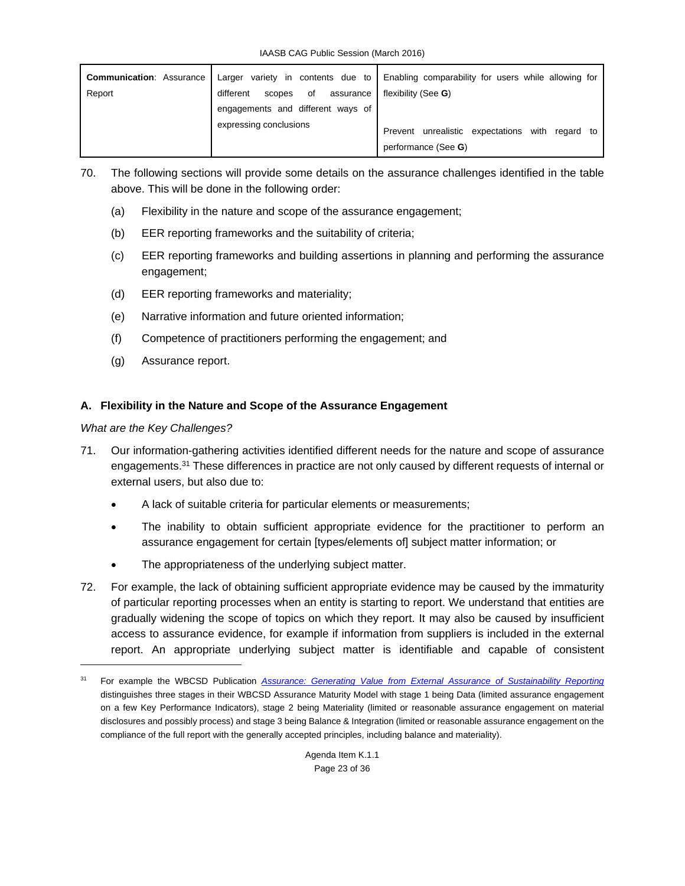| <b>Communication: Assurance  </b><br>Report | different<br>of<br>assurance<br>scopes | Larger variety in contents due to Enabling comparability for users while allowing for<br>flexibility (See G) |  |  |
|---------------------------------------------|----------------------------------------|--------------------------------------------------------------------------------------------------------------|--|--|
|                                             | engagements and different ways of      |                                                                                                              |  |  |
|                                             | expressing conclusions                 | Prevent unrealistic expectations with regard to<br>performance (See G)                                       |  |  |

- 70. The following sections will provide some details on the assurance challenges identified in the table above. This will be done in the following order:
	- (a) Flexibility in the nature and scope of the assurance engagement;
	- (b) EER reporting frameworks and the suitability of criteria;
	- (c) EER reporting frameworks and building assertions in planning and performing the assurance engagement;
	- (d) EER reporting frameworks and materiality;
	- (e) Narrative information and future oriented information;
	- (f) Competence of practitioners performing the engagement; and
	- (g) Assurance report.

# **A. Flexibility in the Nature and Scope of the Assurance Engagement**

# *What are the Key Challenges?*

- 71. Our information-gathering activities identified different needs for the nature and scope of assurance engagements.<sup>31</sup> These differences in practice are not only caused by different requests of internal or external users, but also due to:
	- A lack of suitable criteria for particular elements or measurements;
	- The inability to obtain sufficient appropriate evidence for the practitioner to perform an assurance engagement for certain [types/elements of] subject matter information; or
	- The appropriateness of the underlying subject matter.
- 72. For example, the lack of obtaining sufficient appropriate evidence may be caused by the immaturity of particular reporting processes when an entity is starting to report. We understand that entities are gradually widening the scope of topics on which they report. It may also be caused by insufficient access to assurance evidence, for example if information from suppliers is included in the external report. An appropriate underlying subject matter is identifiable and capable of consistent

<sup>31</sup> For example the WBCSD Publication *Assurance: Generating Value from External Assurance of Sustainability Reporting* distinguishes three stages in their WBCSD Assurance Maturity Model with stage 1 being Data (limited assurance engagement on a few Key Performance Indicators), stage 2 being Materiality (limited or reasonable assurance engagement on material disclosures and possibly process) and stage 3 being Balance & Integration (limited or reasonable assurance engagement on the compliance of the full report with the generally accepted principles, including balance and materiality).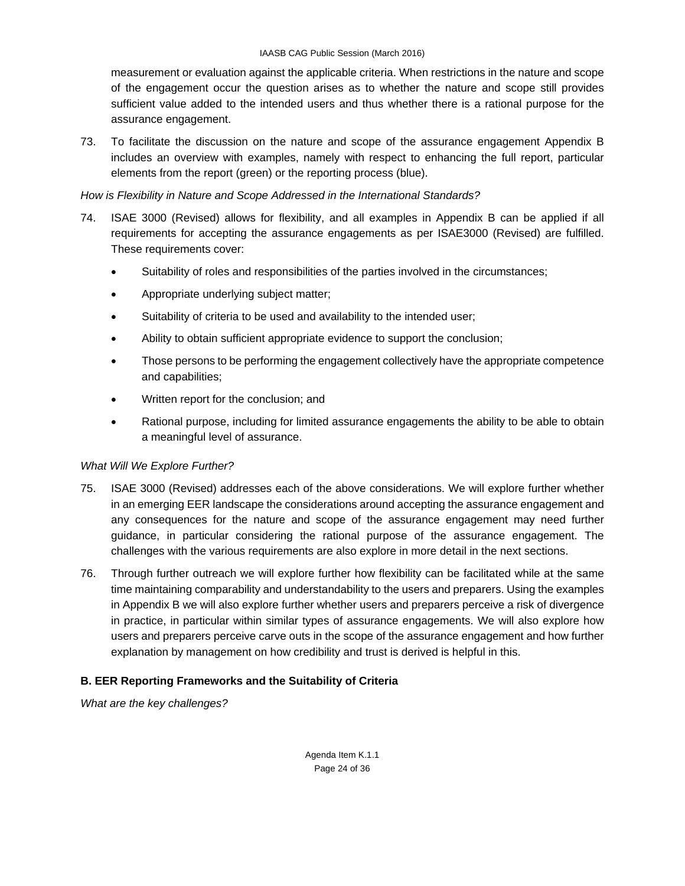measurement or evaluation against the applicable criteria. When restrictions in the nature and scope of the engagement occur the question arises as to whether the nature and scope still provides sufficient value added to the intended users and thus whether there is a rational purpose for the assurance engagement.

73. To facilitate the discussion on the nature and scope of the assurance engagement Appendix B includes an overview with examples, namely with respect to enhancing the full report, particular elements from the report (green) or the reporting process (blue).

*How is Flexibility in Nature and Scope Addressed in the International Standards?* 

- 74. ISAE 3000 (Revised) allows for flexibility, and all examples in Appendix B can be applied if all requirements for accepting the assurance engagements as per ISAE3000 (Revised) are fulfilled. These requirements cover:
	- Suitability of roles and responsibilities of the parties involved in the circumstances;
	- Appropriate underlying subject matter;
	- Suitability of criteria to be used and availability to the intended user;
	- Ability to obtain sufficient appropriate evidence to support the conclusion;
	- Those persons to be performing the engagement collectively have the appropriate competence and capabilities;
	- Written report for the conclusion; and
	- Rational purpose, including for limited assurance engagements the ability to be able to obtain a meaningful level of assurance.

# *What Will We Explore Further?*

- 75. ISAE 3000 (Revised) addresses each of the above considerations. We will explore further whether in an emerging EER landscape the considerations around accepting the assurance engagement and any consequences for the nature and scope of the assurance engagement may need further guidance, in particular considering the rational purpose of the assurance engagement. The challenges with the various requirements are also explore in more detail in the next sections.
- 76. Through further outreach we will explore further how flexibility can be facilitated while at the same time maintaining comparability and understandability to the users and preparers. Using the examples in Appendix B we will also explore further whether users and preparers perceive a risk of divergence in practice, in particular within similar types of assurance engagements. We will also explore how users and preparers perceive carve outs in the scope of the assurance engagement and how further explanation by management on how credibility and trust is derived is helpful in this.

# **B. EER Reporting Frameworks and the Suitability of Criteria**

*What are the key challenges?*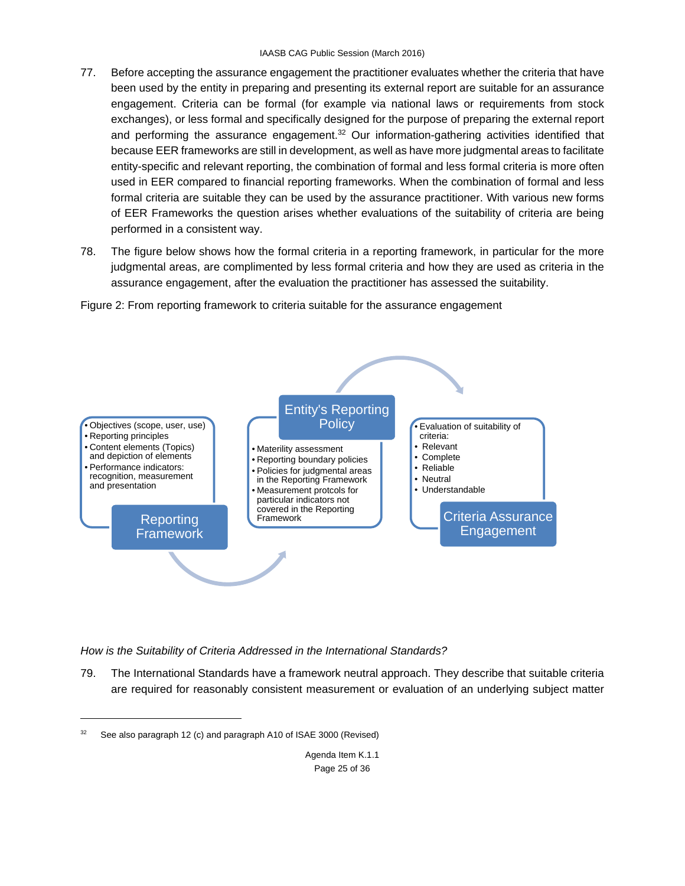- 77. Before accepting the assurance engagement the practitioner evaluates whether the criteria that have been used by the entity in preparing and presenting its external report are suitable for an assurance engagement. Criteria can be formal (for example via national laws or requirements from stock exchanges), or less formal and specifically designed for the purpose of preparing the external report and performing the assurance engagement. $32$  Our information-gathering activities identified that because EER frameworks are still in development, as well as have more judgmental areas to facilitate entity-specific and relevant reporting, the combination of formal and less formal criteria is more often used in EER compared to financial reporting frameworks. When the combination of formal and less formal criteria are suitable they can be used by the assurance practitioner. With various new forms of EER Frameworks the question arises whether evaluations of the suitability of criteria are being performed in a consistent way.
- 78. The figure below shows how the formal criteria in a reporting framework, in particular for the more judgmental areas, are complimented by less formal criteria and how they are used as criteria in the assurance engagement, after the evaluation the practitioner has assessed the suitability.

Figure 2: From reporting framework to criteria suitable for the assurance engagement



*How is the Suitability of Criteria Addressed in the International Standards?* 

79. The International Standards have a framework neutral approach. They describe that suitable criteria are required for reasonably consistent measurement or evaluation of an underlying subject matter

<sup>&</sup>lt;sup>32</sup> See also paragraph 12 (c) and paragraph A10 of ISAE 3000 (Revised)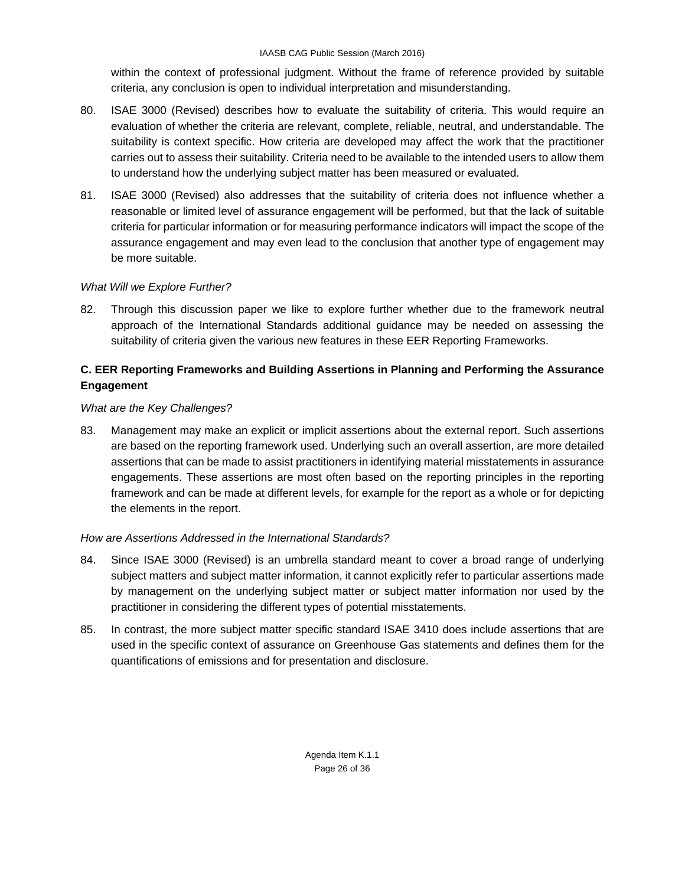within the context of professional judgment. Without the frame of reference provided by suitable criteria, any conclusion is open to individual interpretation and misunderstanding.

- 80. ISAE 3000 (Revised) describes how to evaluate the suitability of criteria. This would require an evaluation of whether the criteria are relevant, complete, reliable, neutral, and understandable. The suitability is context specific. How criteria are developed may affect the work that the practitioner carries out to assess their suitability. Criteria need to be available to the intended users to allow them to understand how the underlying subject matter has been measured or evaluated.
- 81. ISAE 3000 (Revised) also addresses that the suitability of criteria does not influence whether a reasonable or limited level of assurance engagement will be performed, but that the lack of suitable criteria for particular information or for measuring performance indicators will impact the scope of the assurance engagement and may even lead to the conclusion that another type of engagement may be more suitable.

# *What Will we Explore Further?*

82. Through this discussion paper we like to explore further whether due to the framework neutral approach of the International Standards additional guidance may be needed on assessing the suitability of criteria given the various new features in these EER Reporting Frameworks.

# **C. EER Reporting Frameworks and Building Assertions in Planning and Performing the Assurance Engagement**

# *What are the Key Challenges?*

83. Management may make an explicit or implicit assertions about the external report. Such assertions are based on the reporting framework used. Underlying such an overall assertion, are more detailed assertions that can be made to assist practitioners in identifying material misstatements in assurance engagements. These assertions are most often based on the reporting principles in the reporting framework and can be made at different levels, for example for the report as a whole or for depicting the elements in the report.

# *How are Assertions Addressed in the International Standards?*

- 84. Since ISAE 3000 (Revised) is an umbrella standard meant to cover a broad range of underlying subject matters and subject matter information, it cannot explicitly refer to particular assertions made by management on the underlying subject matter or subject matter information nor used by the practitioner in considering the different types of potential misstatements.
- 85. In contrast, the more subject matter specific standard ISAE 3410 does include assertions that are used in the specific context of assurance on Greenhouse Gas statements and defines them for the quantifications of emissions and for presentation and disclosure.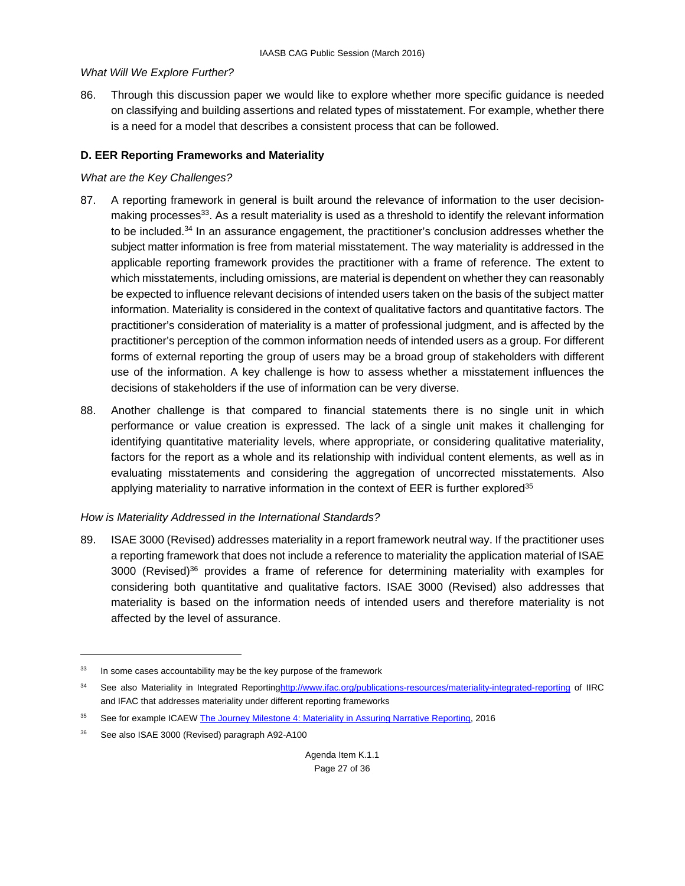#### *What Will We Explore Further?*

86. Through this discussion paper we would like to explore whether more specific guidance is needed on classifying and building assertions and related types of misstatement. For example, whether there is a need for a model that describes a consistent process that can be followed.

#### **D. EER Reporting Frameworks and Materiality**

#### *What are the Key Challenges?*

- 87. A reporting framework in general is built around the relevance of information to the user decisionmaking processes<sup>33</sup>. As a result materiality is used as a threshold to identify the relevant information to be included.<sup>34</sup> In an assurance engagement, the practitioner's conclusion addresses whether the subject matter information is free from material misstatement. The way materiality is addressed in the applicable reporting framework provides the practitioner with a frame of reference. The extent to which misstatements, including omissions, are material is dependent on whether they can reasonably be expected to influence relevant decisions of intended users taken on the basis of the subject matter information. Materiality is considered in the context of qualitative factors and quantitative factors. The practitioner's consideration of materiality is a matter of professional judgment, and is affected by the practitioner's perception of the common information needs of intended users as a group. For different forms of external reporting the group of users may be a broad group of stakeholders with different use of the information. A key challenge is how to assess whether a misstatement influences the decisions of stakeholders if the use of information can be very diverse.
- 88. Another challenge is that compared to financial statements there is no single unit in which performance or value creation is expressed. The lack of a single unit makes it challenging for identifying quantitative materiality levels, where appropriate, or considering qualitative materiality, factors for the report as a whole and its relationship with individual content elements, as well as in evaluating misstatements and considering the aggregation of uncorrected misstatements. Also applying materiality to narrative information in the context of EER is further explored<sup>35</sup>

#### *How is Materiality Addressed in the International Standards?*

89. ISAE 3000 (Revised) addresses materiality in a report framework neutral way. If the practitioner uses a reporting framework that does not include a reference to materiality the application material of ISAE 3000 (Revised)<sup>36</sup> provides a frame of reference for determining materiality with examples for considering both quantitative and qualitative factors. ISAE 3000 (Revised) also addresses that materiality is based on the information needs of intended users and therefore materiality is not affected by the level of assurance.

<sup>&</sup>lt;sup>33</sup> In some cases accountability may be the key purpose of the framework

<sup>34</sup> See also Materiality in Integrated Reportinghttp://www.ifac.org/publications-resources/materiality-integrated-reporting of IIRC and IFAC that addresses materiality under different reporting frameworks

<sup>&</sup>lt;sup>35</sup> See for example ICAEW The Journey Milestone 4: Materiality in Assuring Narrative Reporting, 2016

<sup>36</sup> See also ISAE 3000 (Revised) paragraph A92-A100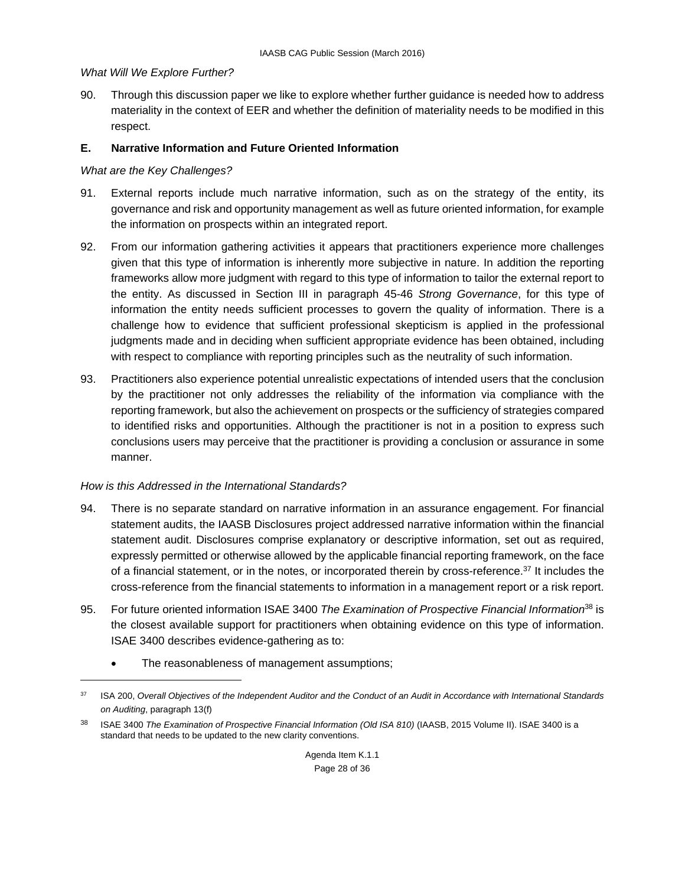#### *What Will We Explore Further?*

90. Through this discussion paper we like to explore whether further guidance is needed how to address materiality in the context of EER and whether the definition of materiality needs to be modified in this respect.

#### **E. Narrative Information and Future Oriented Information**

#### *What are the Key Challenges?*

- 91. External reports include much narrative information, such as on the strategy of the entity, its governance and risk and opportunity management as well as future oriented information, for example the information on prospects within an integrated report.
- 92. From our information gathering activities it appears that practitioners experience more challenges given that this type of information is inherently more subjective in nature. In addition the reporting frameworks allow more judgment with regard to this type of information to tailor the external report to the entity. As discussed in Section III in paragraph 45-46 *Strong Governance*, for this type of information the entity needs sufficient processes to govern the quality of information. There is a challenge how to evidence that sufficient professional skepticism is applied in the professional judgments made and in deciding when sufficient appropriate evidence has been obtained, including with respect to compliance with reporting principles such as the neutrality of such information.
- 93. Practitioners also experience potential unrealistic expectations of intended users that the conclusion by the practitioner not only addresses the reliability of the information via compliance with the reporting framework, but also the achievement on prospects or the sufficiency of strategies compared to identified risks and opportunities. Although the practitioner is not in a position to express such conclusions users may perceive that the practitioner is providing a conclusion or assurance in some manner.

#### *How is this Addressed in the International Standards?*

- 94. There is no separate standard on narrative information in an assurance engagement. For financial statement audits, the IAASB Disclosures project addressed narrative information within the financial statement audit. Disclosures comprise explanatory or descriptive information, set out as required, expressly permitted or otherwise allowed by the applicable financial reporting framework, on the face of a financial statement, or in the notes, or incorporated therein by cross-reference.<sup>37</sup> It includes the cross-reference from the financial statements to information in a management report or a risk report.
- 95. For future oriented information ISAE 3400 *The Examination of Prospective Financial Information*<sup>38</sup> is the closest available support for practitioners when obtaining evidence on this type of information. ISAE 3400 describes evidence-gathering as to:
	- The reasonableness of management assumptions;

<sup>37</sup> ISA 200, *Overall Objectives of the Independent Auditor and the Conduct of an Audit in Accordance with International Standards on Auditing*, paragraph 13(f)

<sup>&</sup>lt;sup>38</sup> ISAE 3400 The Examination of Prospective Financial Information (Old ISA 810) (IAASB, 2015 Volume II). ISAE 3400 is a standard that needs to be updated to the new clarity conventions.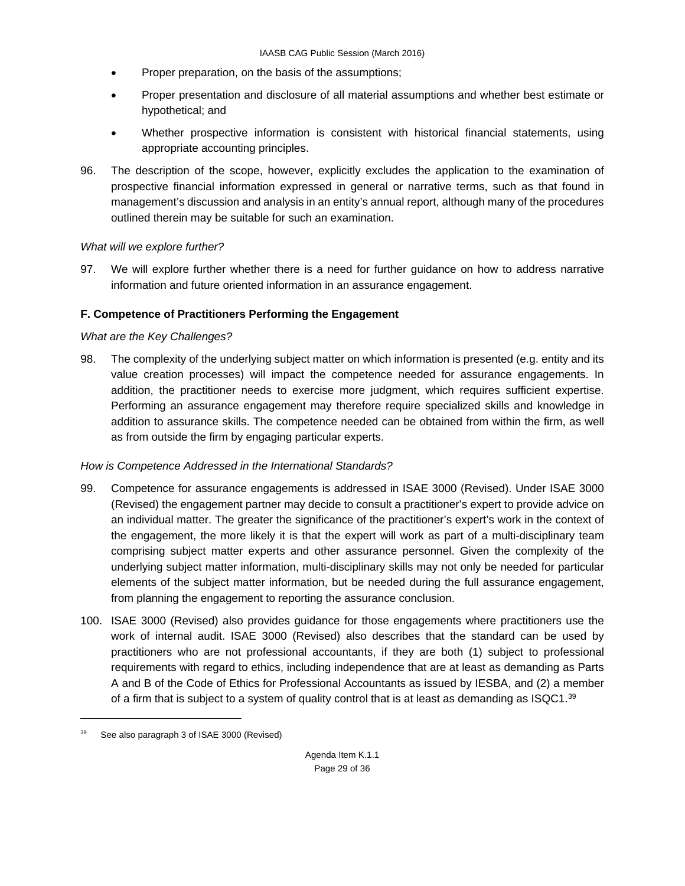- Proper preparation, on the basis of the assumptions;
- Proper presentation and disclosure of all material assumptions and whether best estimate or hypothetical; and
- Whether prospective information is consistent with historical financial statements, using appropriate accounting principles.
- 96. The description of the scope, however, explicitly excludes the application to the examination of prospective financial information expressed in general or narrative terms, such as that found in management's discussion and analysis in an entity's annual report, although many of the procedures outlined therein may be suitable for such an examination.

#### *What will we explore further?*

97. We will explore further whether there is a need for further guidance on how to address narrative information and future oriented information in an assurance engagement.

# **F. Competence of Practitioners Performing the Engagement**

#### *What are the Key Challenges?*

98. The complexity of the underlying subject matter on which information is presented (e.g. entity and its value creation processes) will impact the competence needed for assurance engagements. In addition, the practitioner needs to exercise more judgment, which requires sufficient expertise. Performing an assurance engagement may therefore require specialized skills and knowledge in addition to assurance skills. The competence needed can be obtained from within the firm, as well as from outside the firm by engaging particular experts.

#### *How is Competence Addressed in the International Standards?*

- 99. Competence for assurance engagements is addressed in ISAE 3000 (Revised). Under ISAE 3000 (Revised) the engagement partner may decide to consult a practitioner's expert to provide advice on an individual matter. The greater the significance of the practitioner's expert's work in the context of the engagement, the more likely it is that the expert will work as part of a multi-disciplinary team comprising subject matter experts and other assurance personnel. Given the complexity of the underlying subject matter information, multi-disciplinary skills may not only be needed for particular elements of the subject matter information, but be needed during the full assurance engagement, from planning the engagement to reporting the assurance conclusion.
- 100. ISAE 3000 (Revised) also provides guidance for those engagements where practitioners use the work of internal audit. ISAE 3000 (Revised) also describes that the standard can be used by practitioners who are not professional accountants, if they are both (1) subject to professional requirements with regard to ethics, including independence that are at least as demanding as Parts A and B of the Code of Ethics for Professional Accountants as issued by IESBA, and (2) a member of a firm that is subject to a system of quality control that is at least as demanding as ISQC1.39

<sup>39</sup> See also paragraph 3 of ISAE 3000 (Revised)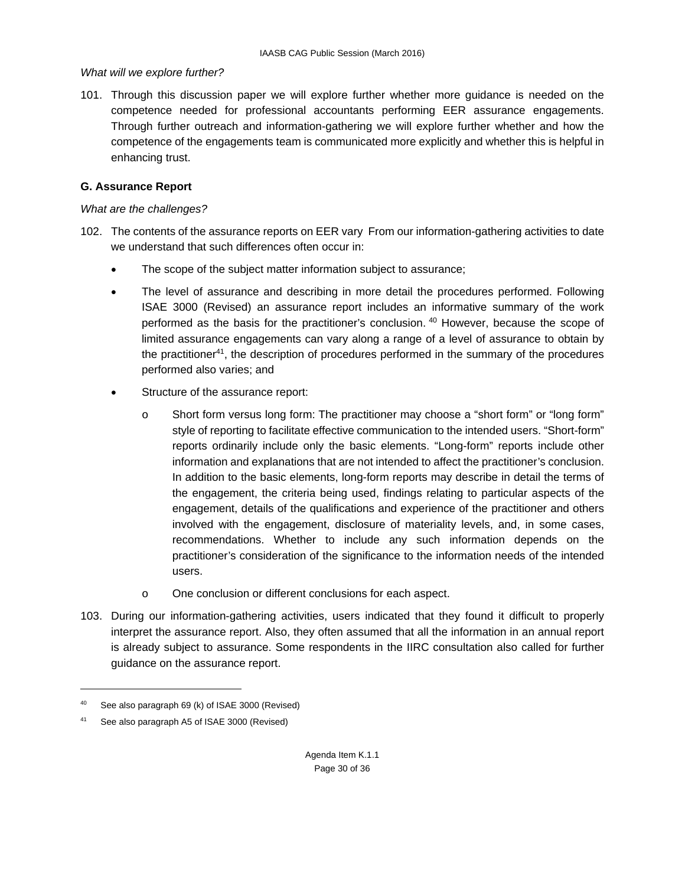#### *What will we explore further?*

101. Through this discussion paper we will explore further whether more guidance is needed on the competence needed for professional accountants performing EER assurance engagements. Through further outreach and information-gathering we will explore further whether and how the competence of the engagements team is communicated more explicitly and whether this is helpful in enhancing trust.

#### **G. Assurance Report**

#### *What are the challenges?*

- 102. The contents of the assurance reports on EER vary From our information-gathering activities to date we understand that such differences often occur in:
	- The scope of the subject matter information subject to assurance;
	- The level of assurance and describing in more detail the procedures performed. Following ISAE 3000 (Revised) an assurance report includes an informative summary of the work performed as the basis for the practitioner's conclusion. 40 However, because the scope of limited assurance engagements can vary along a range of a level of assurance to obtain by the practitioner41, the description of procedures performed in the summary of the procedures performed also varies; and
	- Structure of the assurance report:
		- o Short form versus long form: The practitioner may choose a "short form" or "long form" style of reporting to facilitate effective communication to the intended users. "Short-form" reports ordinarily include only the basic elements. "Long-form" reports include other information and explanations that are not intended to affect the practitioner's conclusion. In addition to the basic elements, long-form reports may describe in detail the terms of the engagement, the criteria being used, findings relating to particular aspects of the engagement, details of the qualifications and experience of the practitioner and others involved with the engagement, disclosure of materiality levels, and, in some cases, recommendations. Whether to include any such information depends on the practitioner's consideration of the significance to the information needs of the intended users.
		- o One conclusion or different conclusions for each aspect.
- 103. During our information-gathering activities, users indicated that they found it difficult to properly interpret the assurance report. Also, they often assumed that all the information in an annual report is already subject to assurance. Some respondents in the IIRC consultation also called for further guidance on the assurance report.

<sup>40</sup> See also paragraph 69 (k) of ISAE 3000 (Revised)

<sup>41</sup> See also paragraph A5 of ISAE 3000 (Revised)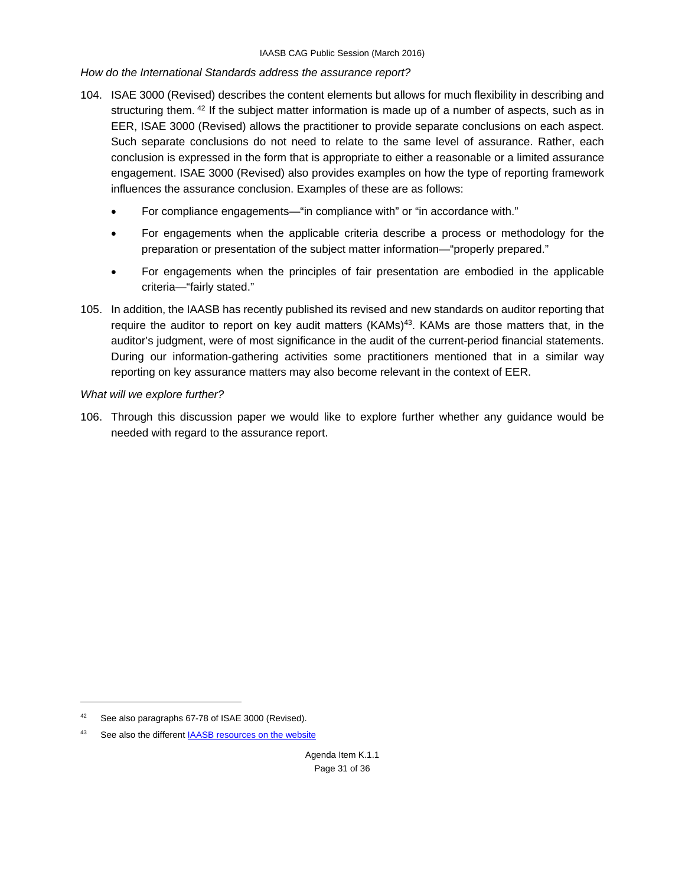*How do the International Standards address the assurance report?* 

- 104. ISAE 3000 (Revised) describes the content elements but allows for much flexibility in describing and structuring them.  $42$  If the subject matter information is made up of a number of aspects, such as in EER, ISAE 3000 (Revised) allows the practitioner to provide separate conclusions on each aspect. Such separate conclusions do not need to relate to the same level of assurance. Rather, each conclusion is expressed in the form that is appropriate to either a reasonable or a limited assurance engagement. ISAE 3000 (Revised) also provides examples on how the type of reporting framework influences the assurance conclusion. Examples of these are as follows:
	- For compliance engagements—"in compliance with" or "in accordance with."
	- For engagements when the applicable criteria describe a process or methodology for the preparation or presentation of the subject matter information—"properly prepared."
	- For engagements when the principles of fair presentation are embodied in the applicable criteria—"fairly stated."
- 105. In addition, the IAASB has recently published its revised and new standards on auditor reporting that require the auditor to report on key audit matters  $(KAMs)<sup>43</sup>$ . KAMs are those matters that, in the auditor's judgment, were of most significance in the audit of the current-period financial statements. During our information-gathering activities some practitioners mentioned that in a similar way reporting on key assurance matters may also become relevant in the context of EER.

#### *What will we explore further?*

106. Through this discussion paper we would like to explore further whether any guidance would be needed with regard to the assurance report.

1

<sup>42</sup> See also paragraphs 67-78 of ISAE 3000 (Revised).

<sup>43</sup> See also the different **IAASB** resources on the website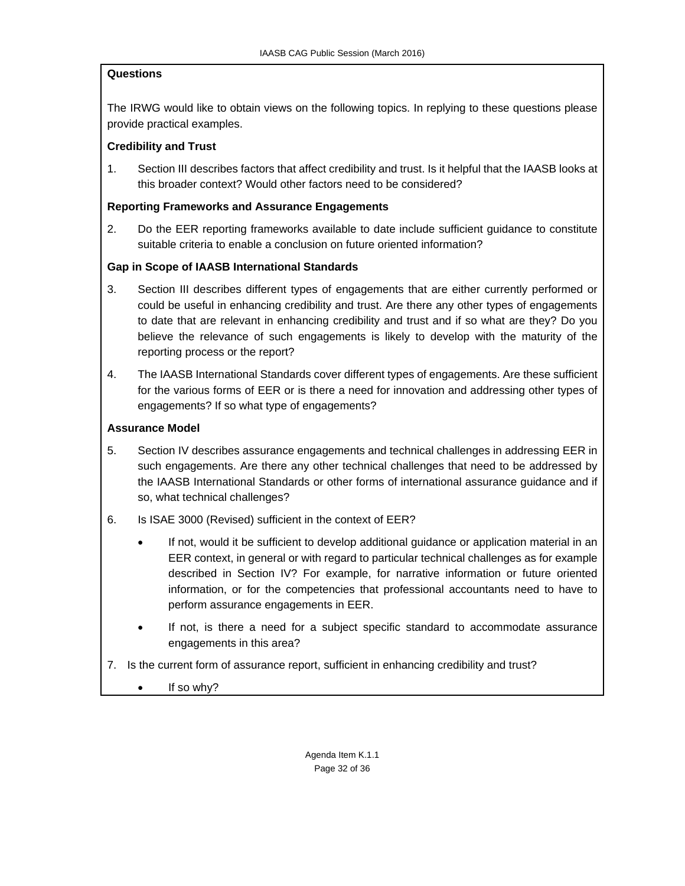# **Questions**

The IRWG would like to obtain views on the following topics. In replying to these questions please provide practical examples.

# **Credibility and Trust**

1. Section III describes factors that affect credibility and trust. Is it helpful that the IAASB looks at this broader context? Would other factors need to be considered?

# **Reporting Frameworks and Assurance Engagements**

2. Do the EER reporting frameworks available to date include sufficient guidance to constitute suitable criteria to enable a conclusion on future oriented information?

# **Gap in Scope of IAASB International Standards**

- 3. Section III describes different types of engagements that are either currently performed or could be useful in enhancing credibility and trust. Are there any other types of engagements to date that are relevant in enhancing credibility and trust and if so what are they? Do you believe the relevance of such engagements is likely to develop with the maturity of the reporting process or the report?
- 4. The IAASB International Standards cover different types of engagements. Are these sufficient for the various forms of EER or is there a need for innovation and addressing other types of engagements? If so what type of engagements?

#### **Assurance Model**

- 5. Section IV describes assurance engagements and technical challenges in addressing EER in such engagements. Are there any other technical challenges that need to be addressed by the IAASB International Standards or other forms of international assurance guidance and if so, what technical challenges?
- 6. Is ISAE 3000 (Revised) sufficient in the context of EER?
	- If not, would it be sufficient to develop additional guidance or application material in an EER context, in general or with regard to particular technical challenges as for example described in Section IV? For example, for narrative information or future oriented information, or for the competencies that professional accountants need to have to perform assurance engagements in EER.
	- If not, is there a need for a subject specific standard to accommodate assurance engagements in this area?
- 7. Is the current form of assurance report, sufficient in enhancing credibility and trust?
	- If so why?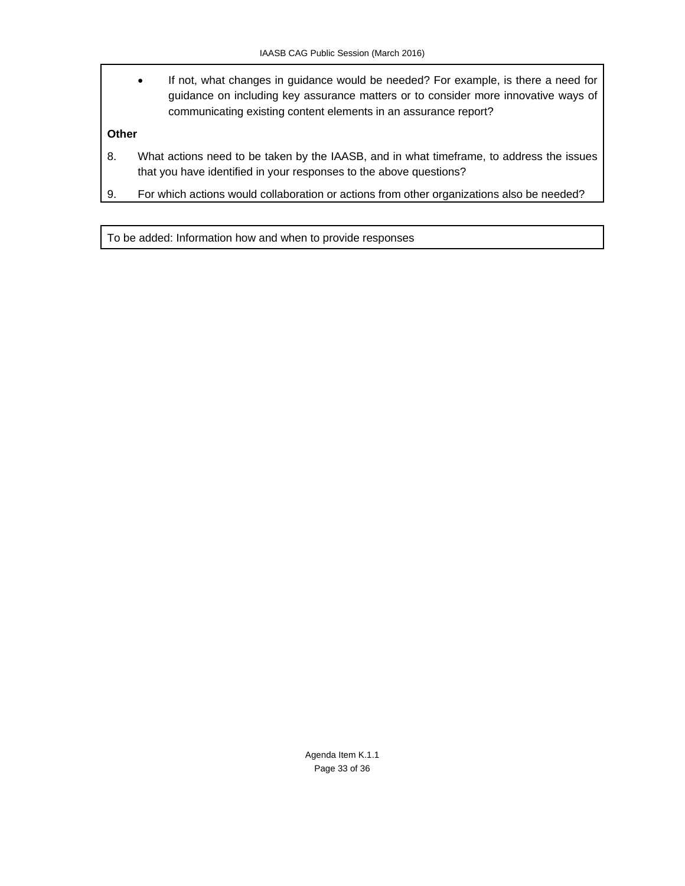If not, what changes in guidance would be needed? For example, is there a need for guidance on including key assurance matters or to consider more innovative ways of communicating existing content elements in an assurance report?

# **Other**

- 8. What actions need to be taken by the IAASB, and in what timeframe, to address the issues that you have identified in your responses to the above questions?
- 9. For which actions would collaboration or actions from other organizations also be needed?

To be added: Information how and when to provide responses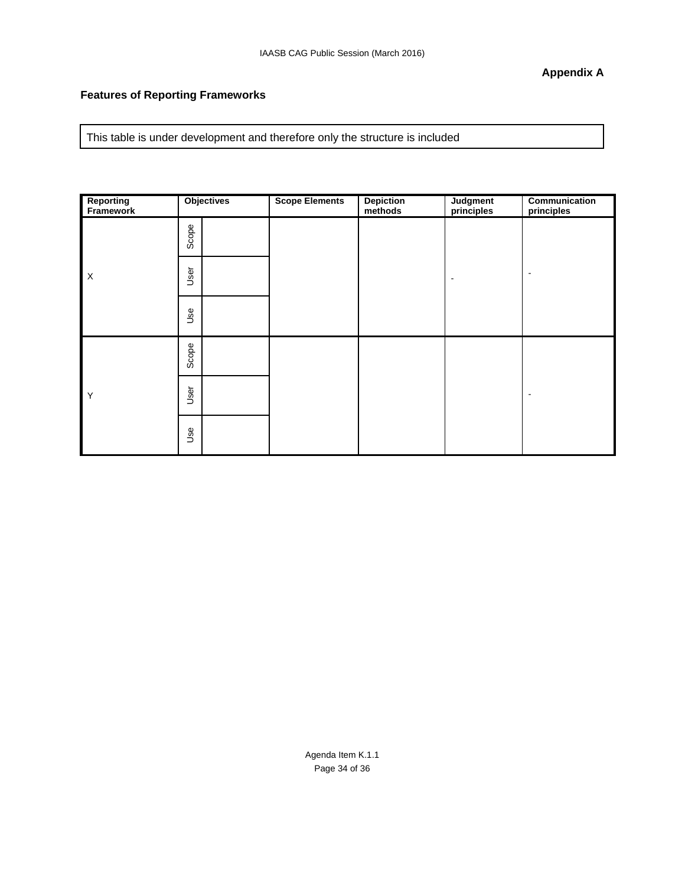#### **Features of Reporting Frameworks**

This table is under development and therefore only the structure is included

| <b>Reporting</b><br>Framework |       | <b>Objectives</b> | <b>Scope Elements</b> | <b>Depiction</b><br>methods | <b>Judgment</b><br>principles | Communication<br>principles |
|-------------------------------|-------|-------------------|-----------------------|-----------------------------|-------------------------------|-----------------------------|
|                               | Scope |                   |                       |                             |                               |                             |
| $\boldsymbol{\mathsf{X}}$     | User  |                   |                       |                             |                               |                             |
|                               | Use   |                   |                       |                             |                               |                             |
|                               | Scope |                   |                       |                             |                               |                             |
| Y                             | User  |                   |                       |                             |                               |                             |
|                               | Use   |                   |                       |                             |                               |                             |

Agenda Item K.1.1 Page 34 of 36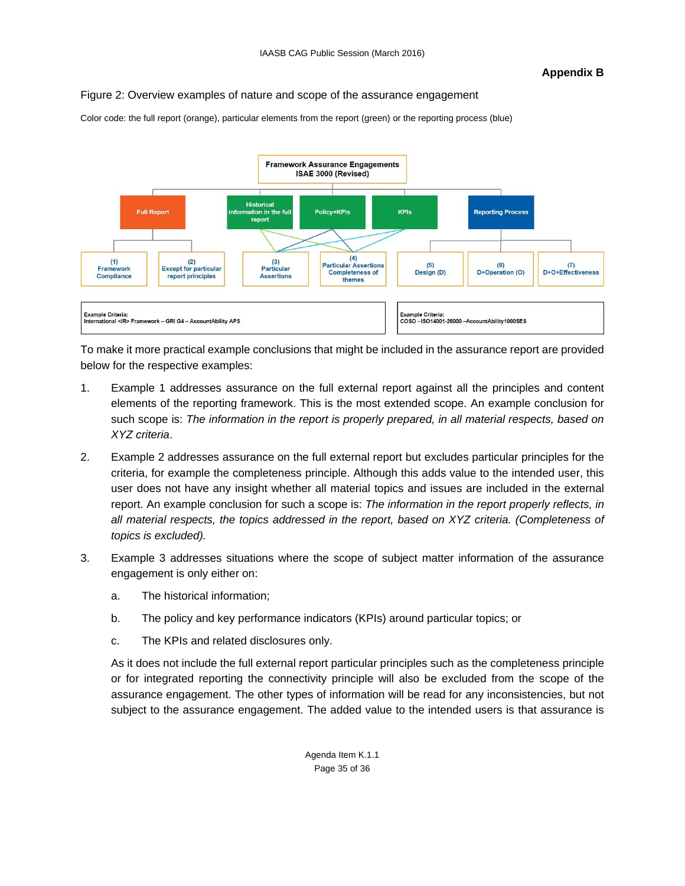#### **Appendix B**

# Figure 2: Overview examples of nature and scope of the assurance engagement

Color code: the full report (orange), particular elements from the report (green) or the reporting process (blue)



To make it more practical example conclusions that might be included in the assurance report are provided below for the respective examples:

- 1. Example 1 addresses assurance on the full external report against all the principles and content elements of the reporting framework. This is the most extended scope. An example conclusion for such scope is: *The information in the report is properly prepared, in all material respects, based on XYZ criteria*.
- 2. Example 2 addresses assurance on the full external report but excludes particular principles for the criteria, for example the completeness principle. Although this adds value to the intended user, this user does not have any insight whether all material topics and issues are included in the external report. An example conclusion for such a scope is: *The information in the report properly reflects, in all material respects, the topics addressed in the report, based on XYZ criteria. (Completeness of topics is excluded).*
- 3. Example 3 addresses situations where the scope of subject matter information of the assurance engagement is only either on:
	- a. The historical information;
	- b. The policy and key performance indicators (KPIs) around particular topics; or
	- c. The KPIs and related disclosures only.

As it does not include the full external report particular principles such as the completeness principle or for integrated reporting the connectivity principle will also be excluded from the scope of the assurance engagement. The other types of information will be read for any inconsistencies, but not subject to the assurance engagement. The added value to the intended users is that assurance is